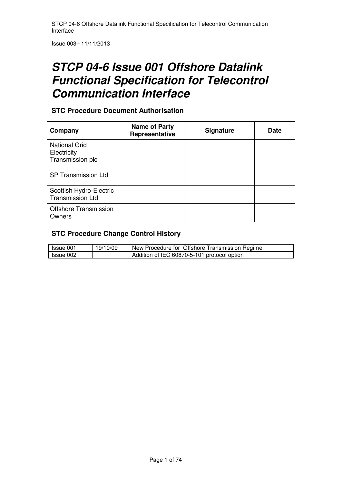Issue 003– 11/11/2013

# **STCP 04-6 Issue 001 Offshore Datalink Functional Specification for Telecontrol Communication Interface**

## **STC Procedure Document Authorisation**

| Company                                                 | <b>Name of Party</b><br>Representative | <b>Signature</b> | <b>Date</b> |
|---------------------------------------------------------|----------------------------------------|------------------|-------------|
| <b>National Grid</b><br>Electricity<br>Transmission plc |                                        |                  |             |
| <b>SP Transmission Ltd</b>                              |                                        |                  |             |
| Scottish Hydro-Electric<br><b>Transmission Ltd</b>      |                                        |                  |             |
| <b>Offshore Transmission</b><br>Owners                  |                                        |                  |             |

## **STC Procedure Change Control History**

| Issue 001 | 19/10/09 | New Procedure for Offshore Transmission Regime |
|-----------|----------|------------------------------------------------|
| Issue 002 |          | Addition of IEC 60870-5-101 protocol option    |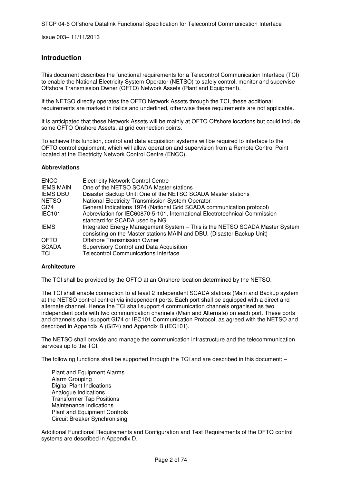Issue 003– 11/11/2013

## **Introduction**

This document describes the functional requirements for a Telecontrol Communication Interface (TCI) to enable the National Electricity System Operator (NETSO) to safely control, monitor and supervise Offshore Transmission Owner (OFTO) Network Assets (Plant and Equipment).

If the NETSO directly operates the OFTO Network Assets through the TCI, these additional requirements are marked in italics and underlined, otherwise these requirements are not applicable.

It is anticipated that these Network Assets will be mainly at OFTO Offshore locations but could include some OFTO Onshore Assets, at grid connection points.

To achieve this function, control and data acquisition systems will be required to interface to the OFTO control equipment, which will allow operation and supervision from a Remote Control Point located at the Electricity Network Control Centre (ENCC).

#### **Abbreviations**

| <b>ENCC</b>      | <b>Electricity Network Control Centre</b>                                   |
|------------------|-----------------------------------------------------------------------------|
| <b>IEMS MAIN</b> | One of the NETSO SCADA Master stations                                      |
| <b>IEMS DBU</b>  | Disaster Backup Unit: One of the NETSO SCADA Master stations                |
| <b>NETSO</b>     | National Electricity Transmission System Operator                           |
| GI74             | General Indications 1974 (National Grid SCADA communication protocol)       |
| <b>IEC101</b>    | Abbreviation for IEC60870-5-101, International Electrotechnical Commission  |
|                  | standard for SCADA used by NG                                               |
| <b>IEMS</b>      | Integrated Energy Management System - This is the NETSO SCADA Master System |
|                  | consisting on the Master stations MAIN and DBU. (Disaster Backup Unit)      |
| <b>OFTO</b>      | <b>Offshore Transmission Owner</b>                                          |
| <b>SCADA</b>     | Supervisory Control and Data Acquisition                                    |
| TCI              | <b>Telecontrol Communications Interface</b>                                 |

## **Architecture**

The TCI shall be provided by the OFTO at an Onshore location determined by the NETSO.

The TCI shall enable connection to at least 2 independent SCADA stations (Main and Backup system at the NETSO control centre) via independent ports. Each port shall be equipped with a direct and alternate channel. Hence the TCI shall support 4 communication channels organised as two independent ports with two communication channels (Main and Alternate) on each port. These ports and channels shall support GI74 or IEC101 Communication Protocol, as agreed with the NETSO and described in Appendix A (GI74) and Appendix B (IEC101).

The NETSO shall provide and manage the communication infrastructure and the telecommunication services up to the TCI.

The following functions shall be supported through the TCI and are described in this document: –

Plant and Equipment Alarms Alarm Grouping Digital Plant Indications Analogue Indications Transformer Tap Positions Maintenance Indications Plant and Equipment Controls Circuit Breaker Synchronising

Additional Functional Requirements and Configuration and Test Requirements of the OFTO control systems are described in Appendix D.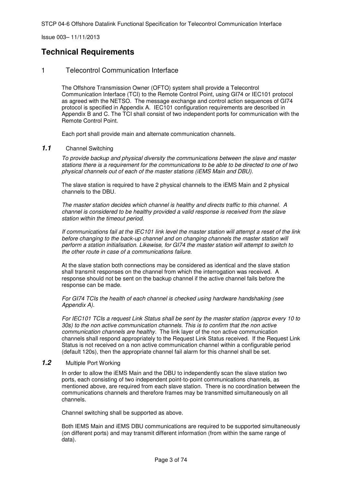## **Technical Requirements**

## 1 Telecontrol Communication Interface

The Offshore Transmission Owner (OFTO) system shall provide a Telecontrol Communication Interface (TCI) to the Remote Control Point, using GI74 or IEC101 protocol as agreed with the NETSO. The message exchange and control action sequences of GI74 protocol is specified in Appendix A. IEC101 configuration requirements are described in Appendix B and C. The TCI shall consist of two independent ports for communication with the Remote Control Point.

Each port shall provide main and alternate communication channels.

## **1.1** Channel Switching

To provide backup and physical diversity the communications between the slave and master stations there is a requirement for the communications to be able to be directed to one of two physical channels out of each of the master stations (iEMS Main and DBU).

The slave station is required to have 2 physical channels to the iEMS Main and 2 physical channels to the DBU.

The master station decides which channel is healthy and directs traffic to this channel. A channel is considered to be healthy provided a valid response is received from the slave station within the timeout period.

If communications fail at the IEC101 link level the master station will attempt a reset of the link before changing to the back-up channel and on changing channels the master station will perform a station initialisation. Likewise, for GI74 the master station will attempt to switch to the other route in case of a communications failure.

At the slave station both connections may be considered as identical and the slave station shall transmit responses on the channel from which the interrogation was received. A response should not be sent on the backup channel if the active channel fails before the response can be made.

For GI74 TCIs the health of each channel is checked using hardware handshaking (see Appendix A).

For IEC101 TCIs a request Link Status shall be sent by the master station (approx every 10 to 30s) to the non active communication channels. This is to confirm that the non active communication channels are healthy. The link layer of the non active communication channels shall respond appropriately to the Request Link Status received. If the Request Link Status is not received on a non active communication channel within a configurable period (default 120s), then the appropriate channel fail alarm for this channel shall be set.

## **1.2** Multiple Port Working

In order to allow the iEMS Main and the DBU to independently scan the slave station two ports, each consisting of two independent point-to-point communications channels, as mentioned above, are required from each slave station. There is no coordination between the communications channels and therefore frames may be transmitted simultaneously on all channels.

Channel switching shall be supported as above.

Both IEMS Main and iEMS DBU communications are required to be supported simultaneously (on different ports) and may transmit different information (from within the same range of data).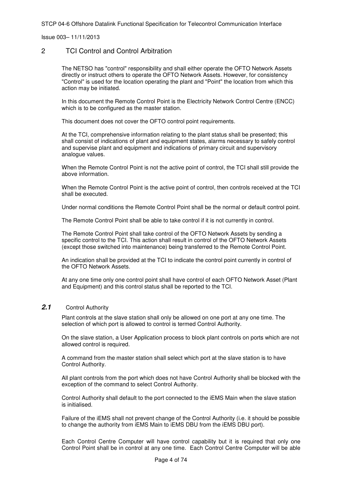## 2 TCI Control and Control Arbitration

The NETSO has "control" responsibility and shall either operate the OFTO Network Assets directly or instruct others to operate the OFTO Network Assets. However, for consistency "Control" is used for the location operating the plant and "Point" the location from which this action may be initiated.

In this document the Remote Control Point is the Electricity Network Control Centre (ENCC) which is to be configured as the master station.

This document does not cover the OFTO control point requirements.

At the TCI, comprehensive information relating to the plant status shall be presented; this shall consist of indications of plant and equipment states, alarms necessary to safely control and supervise plant and equipment and indications of primary circuit and supervisory analogue values.

When the Remote Control Point is not the active point of control, the TCI shall still provide the above information.

When the Remote Control Point is the active point of control, then controls received at the TCI shall be executed.

Under normal conditions the Remote Control Point shall be the normal or default control point.

The Remote Control Point shall be able to take control if it is not currently in control.

The Remote Control Point shall take control of the OFTO Network Assets by sending a specific control to the TCI. This action shall result in control of the OFTO Network Assets (except those switched into maintenance) being transferred to the Remote Control Point.

An indication shall be provided at the TCI to indicate the control point currently in control of the OFTO Network Assets.

At any one time only one control point shall have control of each OFTO Network Asset (Plant and Equipment) and this control status shall be reported to the TCI.

## 2.1 Control Authority

Plant controls at the slave station shall only be allowed on one port at any one time. The selection of which port is allowed to control is termed Control Authority.

On the slave station, a User Application process to block plant controls on ports which are not allowed control is required.

A command from the master station shall select which port at the slave station is to have Control Authority.

All plant controls from the port which does not have Control Authority shall be blocked with the exception of the command to select Control Authority.

Control Authority shall default to the port connected to the iEMS Main when the slave station is initialised.

Failure of the iEMS shall not prevent change of the Control Authority (i.e. it should be possible to change the authority from iEMS Main to iEMS DBU from the iEMS DBU port).

Each Control Centre Computer will have control capability but it is required that only one Control Point shall be in control at any one time. Each Control Centre Computer will be able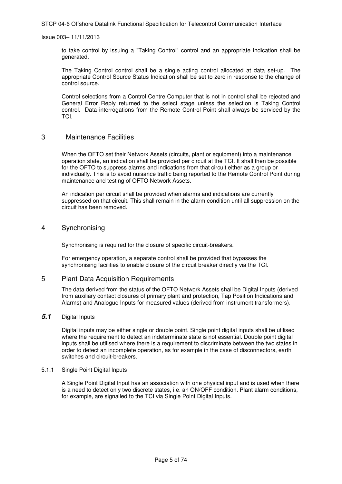Issue 003– 11/11/2013

to take control by issuing a "Taking Control" control and an appropriate indication shall be generated.

The Taking Control control shall be a single acting control allocated at data set-up. The appropriate Control Source Status Indication shall be set to zero in response to the change of control source.

Control selections from a Control Centre Computer that is not in control shall be rejected and General Error Reply returned to the select stage unless the selection is Taking Control control. Data interrogations from the Remote Control Point shall always be serviced by the TCI.

## 3 Maintenance Facilities

When the OFTO set their Network Assets (circuits, plant or equipment) into a maintenance operation state, an indication shall be provided per circuit at the TCI. It shall then be possible for the OFTO to suppress alarms and indications from that circuit either as a group or individually. This is to avoid nuisance traffic being reported to the Remote Control Point during maintenance and testing of OFTO Network Assets.

An indication per circuit shall be provided when alarms and indications are currently suppressed on that circuit. This shall remain in the alarm condition until all suppression on the circuit has been removed.

#### 4 Synchronising

Synchronising is required for the closure of specific circuit-breakers.

For emergency operation, a separate control shall be provided that bypasses the synchronising facilities to enable closure of the circuit breaker directly via the TCI.

## 5 Plant Data Acquisition Requirements

The data derived from the status of the OFTO Network Assets shall be Digital Inputs (derived from auxiliary contact closures of primary plant and protection, Tap Position Indications and Alarms) and Analogue Inputs for measured values (derived from instrument transformers).

#### **5.1** Digital Inputs

Digital inputs may be either single or double point. Single point digital inputs shall be utilised where the requirement to detect an indeterminate state is not essential. Double point digital inputs shall be utilised where there is a requirement to discriminate between the two states in order to detect an incomplete operation, as for example in the case of disconnectors, earth switches and circuit-breakers.

#### 5.1.1 Single Point Digital Inputs

A Single Point Digital Input has an association with one physical input and is used when there is a need to detect only two discrete states, i.e. an ON/OFF condition. Plant alarm conditions, for example, are signalled to the TCI via Single Point Digital Inputs.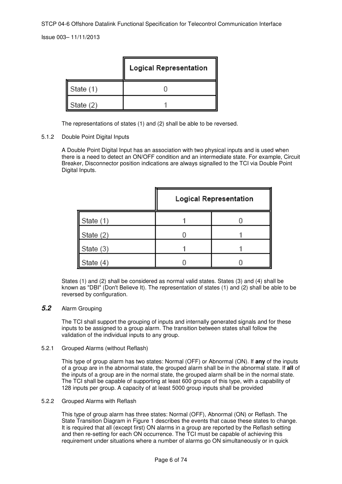Issue 003– 11/11/2013

|           | Logical Representation |
|-----------|------------------------|
| State (1) |                        |
| State (2) |                        |

The representations of states (1) and (2) shall be able to be reversed.

5.1.2 Double Point Digital Inputs

A Double Point Digital Input has an association with two physical inputs and is used when there is a need to detect an ON/OFF condition and an intermediate state. For example, Circuit Breaker, Disconnector position indications are always signalled to the TCI via Double Point Digital Inputs.

|           | Logical Representation |  |  |
|-----------|------------------------|--|--|
| State (1) |                        |  |  |
| State (2) |                        |  |  |
| State (3) |                        |  |  |
| State (4) |                        |  |  |

States (1) and (2) shall be considered as normal valid states. States (3) and (4) shall be known as "DBI" (Don't Believe It). The representation of states (1) and (2) shall be able to be reversed by configuration.

## **5.2** Alarm Grouping

The TCI shall support the grouping of inputs and internally generated signals and for these inputs to be assigned to a group alarm. The transition between states shall follow the validation of the individual inputs to any group.

#### 5.2.1 Grouped Alarms (without Reflash)

This type of group alarm has two states: Normal (OFF) or Abnormal (ON). If **any** of the inputs of a group are in the abnormal state, the grouped alarm shall be in the abnormal state. If **all** of the inputs of a group are in the normal state, the grouped alarm shall be in the normal state. The TCI shall be capable of supporting at least 600 groups of this type, with a capability of 128 inputs per group. A capacity of at least 5000 group inputs shall be provided

## 5.2.2 Grouped Alarms with Reflash

 This type of group alarm has three states: Normal (OFF), Abnormal (ON) or Reflash. The State Transition Diagram in Figure 1 describes the events that cause these states to change. It is required that all (except first) ON alarms in a group are reported by the Reflash setting and then re-setting for each ON occurrence. The TCI must be capable of achieving this requirement under situations where a number of alarms go ON simultaneously or in quick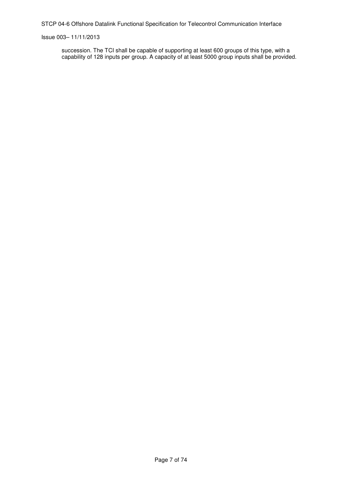Issue 003– 11/11/2013

succession. The TCI shall be capable of supporting at least 600 groups of this type, with a capability of 128 inputs per group. A capacity of at least 5000 group inputs shall be provided.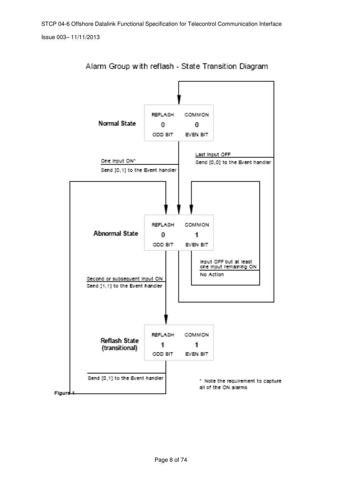

Alarm Group with reflash - State Transition Diagram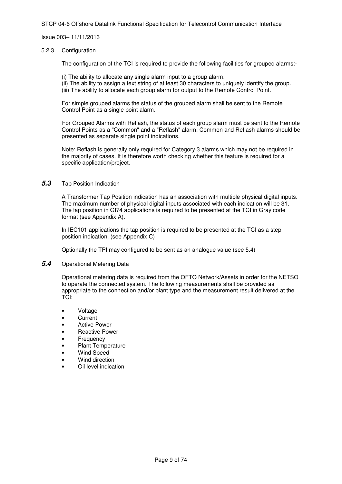Issue 003– 11/11/2013

#### 5.2.3 Configuration

The configuration of the TCI is required to provide the following facilities for grouped alarms:-

- (i) The ability to allocate any single alarm input to a group alarm.
- (ii) The ability to assign a text string of at least 30 characters to uniquely identify the group.
- (iii) The ability to allocate each group alarm for output to the Remote Control Point.

 For simple grouped alarms the status of the grouped alarm shall be sent to the Remote Control Point as a single point alarm.

 For Grouped Alarms with Reflash, the status of each group alarm must be sent to the Remote Control Points as a "Common" and a "Reflash" alarm. Common and Reflash alarms should be presented as separate single point indications.

Note: Reflash is generally only required for Category 3 alarms which may not be required in the majority of cases. It is therefore worth checking whether this feature is required for a specific application/project.

## **5.3** Tap Position Indication

 A Transformer Tap Position indication has an association with multiple physical digital inputs. The maximum number of physical digital inputs associated with each indication will be 31. The tap position in GI74 applications is required to be presented at the TCI in Gray code format (see Appendix A).

In IEC101 applications the tap position is required to be presented at the TCI as a step position indication. (see Appendix C)

Optionally the TPI may configured to be sent as an analogue value (see 5.4)

## **5.4** Operational Metering Data

 Operational metering data is required from the OFTO Network/Assets in order for the NETSO to operate the connected system. The following measurements shall be provided as appropriate to the connection and/or plant type and the measurement result delivered at the TCI:

- Voltage
- **Current**
- Active Power
- Reactive Power
- **Frequency**
- Plant Temperature
- Wind Speed
- Wind direction
- Oil level indication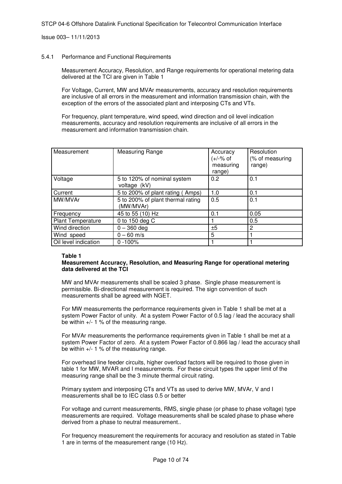Issue 003– 11/11/2013

### 5.4.1 Performance and Functional Requirements

 Measurement Accuracy, Resolution, and Range requirements for operational metering data delivered at the TCI are given in Table 1

 For Voltage, Current, MW and MVAr measurements, accuracy and resolution requirements are inclusive of all errors in the measurement and information transmission chain, with the exception of the errors of the associated plant and interposing CTs and VTs.

 For frequency, plant temperature, wind speed, wind direction and oil level indication measurements, accuracy and resolution requirements are inclusive of all errors in the measurement and information transmission chain.

| Measurement              | <b>Measuring Range</b>                         | Accuracy<br>(+/-% of<br>measuring<br>range) | Resolution<br>(% of measuring<br>range) |
|--------------------------|------------------------------------------------|---------------------------------------------|-----------------------------------------|
| Voltage                  | 5 to 120% of nominal system<br>voltage (kV)    | 0.2                                         | 0.1                                     |
| Current                  | 5 to 200% of plant rating (Amps)               | 1.0                                         | 0.1                                     |
| MW/MVAr                  | 5 to 200% of plant thermal rating<br>(MW/MVAr) | 0.5                                         | 0.1                                     |
| Frequency                | 45 to 55 (10) Hz                               | 0.1                                         | 0.05                                    |
| <b>Plant Temperature</b> | 0 to 150 deg C                                 |                                             | 0.5                                     |
| Wind direction           | $0 - 360$ deg                                  | ±5                                          | 2                                       |
| Wind speed               | $0 - 60$ m/s                                   | 5                                           |                                         |
| Oil level indication     | $0 - 100%$                                     |                                             |                                         |

#### **Table 1**

#### **Measurement Accuracy, Resolution, and Measuring Range for operational metering data delivered at the TCI**

 MW and MVAr measurements shall be scaled 3 phase. Single phase measurement is permissible. Bi-directional measurement is required. The sign convention of such measurements shall be agreed with NGET.

 For MW measurements the performance requirements given in Table 1 shall be met at a system Power Factor of unity. At a system Power Factor of 0.5 lag / lead the accuracy shall be within +/- 1 % of the measuring range.

 For MVAr measurements the performance requirements given in Table 1 shall be met at a system Power Factor of zero. At a system Power Factor of 0.866 lag / lead the accuracy shall be within +/- 1 % of the measuring range.

 For overhead line feeder circuits, higher overload factors will be required to those given in table 1 for MW, MVAR and I measurements. For these circuit types the upper limit of the measuring range shall be the 3 minute thermal circuit rating.

 Primary system and interposing CTs and VTs as used to derive MW, MVAr, V and I measurements shall be to IEC class 0.5 or better

 For voltage and current measurements, RMS, single phase (or phase to phase voltage) type measurements are required. Voltage measurements shall be scaled phase to phase where derived from a phase to neutral measurement..

 For frequency measurement the requirements for accuracy and resolution as stated in Table 1 are in terms of the measurement range (10 Hz).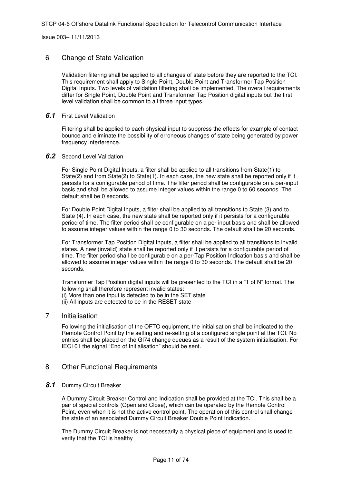## 6 Change of State Validation

 Validation filtering shall be applied to all changes of state before they are reported to the TCI. This requirement shall apply to Single Point, Double Point and Transformer Tap Position Digital Inputs. Two levels of validation filtering shall be implemented. The overall requirements differ for Single Point, Double Point and Transformer Tap Position digital inputs but the first level validation shall be common to all three input types.

## **6.1** First Level Validation

 Filtering shall be applied to each physical input to suppress the effects for example of contact bounce and eliminate the possibility of erroneous changes of state being generated by power frequency interference.

#### **6.2** Second Level Validation

 For Single Point Digital Inputs, a filter shall be applied to all transitions from State(1) to State(2) and from State(2) to State(1). In each case, the new state shall be reported only if it persists for a configurable period of time. The filter period shall be configurable on a per-input basis and shall be allowed to assume integer values within the range 0 to 60 seconds. The default shall be 0 seconds.

 For Double Point Digital Inputs, a filter shall be applied to all transitions to State (3) and to State (4). In each case, the new state shall be reported only if it persists for a configurable period of time. The filter period shall be configurable on a per input basis and shall be allowed to assume integer values within the range 0 to 30 seconds. The default shall be 20 seconds.

 For Transformer Tap Position Digital Inputs, a filter shall be applied to all transitions to invalid states. A new (invalid) state shall be reported only if it persists for a configurable period of time. The filter period shall be configurable on a per-Tap Position Indication basis and shall be allowed to assume integer values within the range 0 to 30 seconds. The default shall be 20 seconds.

 Transformer Tap Position digital inputs will be presented to the TCI in a "1 of N" format. The following shall therefore represent invalid states: (i) More than one input is detected to be in the SET state

(ii) All inputs are detected to be in the RESET state

## 7 Initialisation

 Following the initialisation of the OFTO equipment, the initialisation shall be indicated to the Remote Control Point by the setting and re-setting of a configured single point at the TCI. No entries shall be placed on the GI74 change queues as a result of the system initialisation. For IEC101 the signal "End of Initialisation" should be sent.

## 8 Other Functional Requirements

## **8.1** Dummy Circuit Breaker

 A Dummy Circuit Breaker Control and Indication shall be provided at the TCI. This shall be a pair of special controls (Open and Close), which can be operated by the Remote Control Point, even when it is not the active control point. The operation of this control shall change the state of an associated Dummy Circuit Breaker Double Point Indication.

 The Dummy Circuit Breaker is not necessarily a physical piece of equipment and is used to verify that the TCI is healthy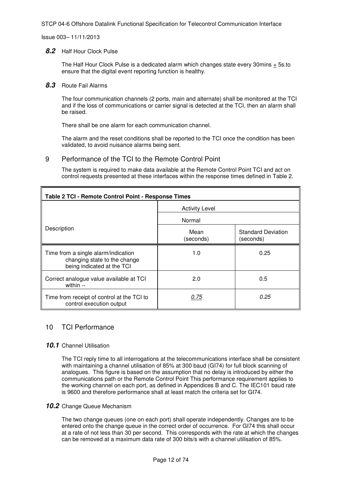Issue 003– 11/11/2013

## **8.2** Half Hour Clock Pulse

 The Half Hour Clock Pulse is a dedicated alarm which changes state every 30mins + 5s.to ensure that the digital event reporting function is healthy.

**8.3** Route Fail Alarms

 The four communication channels (2 ports, main and alternate) shall be monitored at the TCI and if the loss of communications or carrier signal is detected at the TCI, then an alarm shall be raised.

There shall be one alarm for each communication channel.

 The alarm and the reset conditions shall be reported to the TCI once the condition has been validated, to avoid nuisance alarms being sent.

## 9 Performance of the TCI to the Remote Control Point

 The system is required to make data available at the Remote Control Point TCI and act on control requests presented at these interfaces within the response times defined in Table 2.

| Table 2 TCI - Remote Control Point - Response Times                                               |                       |                                        |  |
|---------------------------------------------------------------------------------------------------|-----------------------|----------------------------------------|--|
|                                                                                                   | <b>Activity Level</b> |                                        |  |
|                                                                                                   | Normal                |                                        |  |
| Description                                                                                       | Mean<br>(seconds)     | <b>Standard Deviation</b><br>(seconds) |  |
| Time from a single alarm/indication<br>changing state to the change<br>being indicated at the TCI | 1.0                   | 0.25                                   |  |
| Correct analogue value available at TCI<br>within --                                              | 2.0                   | 0.5                                    |  |
| Time from receipt of control at the TCI to<br>control execution output                            | 0.75                  | 0.25                                   |  |

## 10 TCI Performance

## **10.1** Channel Utilisation

The TCI reply time to all interrogations at the telecommunications interface shall be consistent with maintaining a channel utilisation of 85% at 300 baud (GI74) for full block scanning of analogues. This figure is based on the assumption that no delay is introduced by either the communications path or the Remote Control Point This performance requirement applies to the working channel on each port, as defined in Appendices B and C. The IEC101 baud rate is 9600 and therefore performance shall at least match the criteria set for GI74.

## **10.2** Change Queue Mechanism

 The two change queues (one on each port) shall operate independently. Changes are to be entered onto the change queue in the correct order of occurrence. For GI74 this shall occur at a rate of not less than 30 per second. This corresponds with the rate at which the changes can be removed at a maximum data rate of 300 bits/s with a channel utilisation of 85%.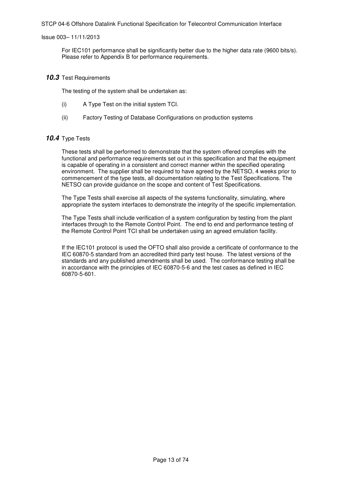#### Issue 003– 11/11/2013

For IEC101 performance shall be significantly better due to the higher data rate (9600 bits/s). Please refer to Appendix B for performance requirements.

## **10.3** Test Requirements

The testing of the system shall be undertaken as:

- (i) A Type Test on the initial system TCI.
- (ii) Factory Testing of Database Configurations on production systems

## **10.4** Type Tests

 These tests shall be performed to demonstrate that the system offered complies with the functional and performance requirements set out in this specification and that the equipment is capable of operating in a consistent and correct manner within the specified operating environment. The supplier shall be required to have agreed by the NETSO, 4 weeks prior to commencement of the type tests, all documentation relating to the Test Specifications. The NETSO can provide guidance on the scope and content of Test Specifications.

 The Type Tests shall exercise all aspects of the systems functionality, simulating, where appropriate the system interfaces to demonstrate the integrity of the specific implementation.

 The Type Tests shall include verification of a system configuration by testing from the plant interfaces through to the Remote Control Point. The end to end and performance testing of the Remote Control Point TCI shall be undertaken using an agreed emulation facility.

If the IEC101 protocol is used the OFTO shall also provide a certificate of conformance to the IEC 60870-5 standard from an accredited third party test house. The latest versions of the standards and any published amendments shall be used. The conformance testing shall be in accordance with the principles of IEC 60870-5-6 and the test cases as defined in IEC 60870-5-601.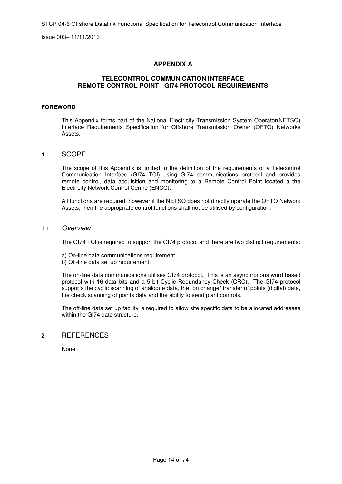## **APPENDIX A**

## **TELECONTROL COMMUNICATION INTERFACE REMOTE CONTROL POINT - GI74 PROTOCOL REQUIREMENTS**

#### **FOREWORD**

 This Appendix forms part of the National Electricity Transmission System Operator(NETSO) Interface Requirements Specification for Offshore Transmission Owner (OFTO) Networks Assets.

## **1** SCOPE

 The scope of this Appendix is limited to the definition of the requirements of a Telecontrol Communication Interface (GI74 TCI) using GI74 communications protocol and provides remote control, data acquisition and monitoring to a Remote Control Point located a the Electricity Network Control Centre (ENCC).

All functions are required, however if the NETSO does not directly operate the OFTO Network Assets, then the appropriate control functions shall not be utilised by configuration.

#### 1.1 Overview

The GI74 TCI is required to support the GI74 protocol and there are two distinct requirements:

- a) On-line data communications requirement
- b) Off-line data set up requirement.

 The on-line data communications utilises GI74 protocol. This is an asynchronous word based protocol with 16 data bits and a 5 bit Cyclic Redundancy Check (CRC). The GI74 protocol supports the cyclic scanning of analogue data, the "on change" transfer of points (digital) data, the check scanning of points data and the ability to send plant controls.

 The off-line data set up facility is required to allow site specific data to be allocated addresses within the GI74 data structure.

## **2** REFERENCES

None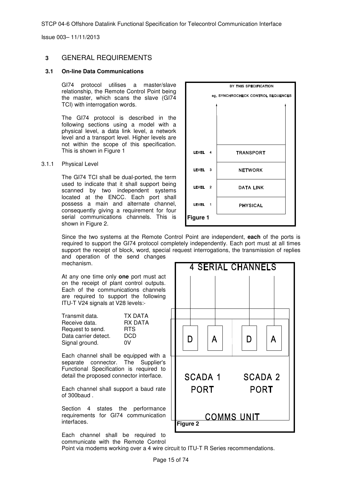Issue 003– 11/11/2013

## **3** GENERAL REQUIREMENTS

#### **3.1 On-line Data Communications**

 GI74 protocol utilises a master/slave relationship, the Remote Control Point being the master, which scans the slave (GI74 TCI) with interrogation words.

 The GI74 protocol is described in the following sections using a model with a physical level, a data link level, a network level and a transport level. Higher levels are not within the scope of this specification. This is shown in Figure 1

#### 3.1.1 Physical Level

 The GI74 TCI shall be dual-ported, the term used to indicate that it shall support being scanned by two independent systems located at the ENCC. Each port shall possess a main and alternate channel, consequently giving a requirement for four serial communications channels. This is shown in Figure 2.



 Since the two systems at the Remote Control Point are independent, **each** of the ports is required to support the GI74 protocol completely independently. Each port must at all times support the receipt of block, word, special request interrogations, the transmission of replies and operation of the send changes

mechanism.

 At any one time only **one** port must act on the receipt of plant control outputs. Each of the communications channels are required to support the following ITU-T V24 signals at V28 levels:-

| Transmit data.       | TX DATA        |
|----------------------|----------------|
| Receive data.        | <b>RX DATA</b> |
| Request to send.     | <b>RTS</b>     |
| Data carrier detect. | DCD            |
| Signal ground.       | ٥V             |

 Each channel shall be equipped with a separate connector. The Supplier's Functional Specification is required to detail the proposed connector interface.

 Each channel shall support a baud rate of 300baud .

 Section 4 states the performance requirements for GI74 communication interfaces.

**SERIAL CHANNELS** 4 D D A A **SCADA 1 SCADA 2 PORT PORT COMMS UNIT Figure 2** 

 Each channel shall be required to communicate with the Remote Control Point via modems working over a 4 wire circuit to ITU-T R Series recommendations.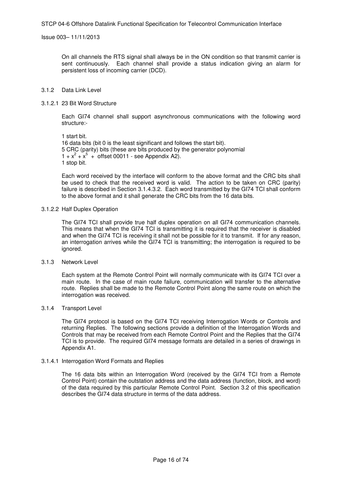On all channels the RTS signal shall always be in the ON condition so that transmit carrier is sent continuously. Each channel shall provide a status indication giving an alarm for persistent loss of incoming carrier (DCD).

#### 3.1.2 Data Link Level

#### 3.1.2.1 23 Bit Word Structure

 Each GI74 channel shall support asynchronous communications with the following word structure:-

 1 start bit. 16 data bits (bit 0 is the least significant and follows the start bit). 5 CRC (parity) bits (these are bits produced by the generator polynomial  $1 + x^2 + x^5 + \text{offset } 00011 - \text{see Appendix A2}.$ 1 stop bit.

 Each word received by the interface will conform to the above format and the CRC bits shall be used to check that the received word is valid. The action to be taken on CRC (parity) failure is described in Section 3.1.4.3.2. Each word transmitted by the GI74 TCI shall conform to the above format and it shall generate the CRC bits from the 16 data bits.

#### 3.1.2.2 Half Duplex Operation

 The GI74 TCI shall provide true half duplex operation on all GI74 communication channels. This means that when the GI74 TCI is transmitting it is required that the receiver is disabled and when the GI74 TCI is receiving it shall not be possible for it to transmit. If for any reason, an interrogation arrives while the GI74 TCI is transmitting; the interrogation is required to be ignored.

#### 3.1.3 Network Level

 Each system at the Remote Control Point will normally communicate with its GI74 TCI over a main route. In the case of main route failure, communication will transfer to the alternative route. Replies shall be made to the Remote Control Point along the same route on which the interrogation was received.

#### 3.1.4 Transport Level

 The GI74 protocol is based on the GI74 TCI receiving Interrogation Words or Controls and returning Replies. The following sections provide a definition of the Interrogation Words and Controls that may be received from each Remote Control Point and the Replies that the GI74 TCI is to provide. The required GI74 message formats are detailed in a series of drawings in Appendix A1.

#### 3.1.4.1 Interrogation Word Formats and Replies

 The 16 data bits within an Interrogation Word (received by the GI74 TCI from a Remote Control Point) contain the outstation address and the data address (function, block, and word) of the data required by this particular Remote Control Point. Section 3.2 of this specification describes the GI74 data structure in terms of the data address.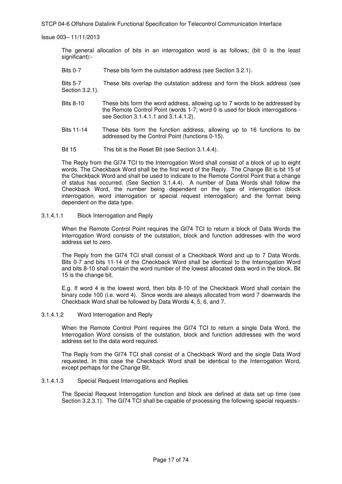Issue 003– 11/11/2013

 The general allocation of bits in an interrogation word is as follows; (bit 0 is the least significant):-

Bits 0-7 These bits form the outstation address (see Section 3.2.1).

 Bits 5-7 These bits overlap the outstation address and form the block address (see Section 3.2.1).

- Bits 8-10 These bits form the word address, allowing up to 7 words to be addressed by the Remote Control Point (words 1-7; word 0 is used for block interrogations see Section 3.1.4.1.1 and 3.1.4.1.2).
- Bits 11-14 These bits form the function address, allowing up to 16 functions to be addressed by the Control Point (functions 0-15).
- Bit 15 This bit is the Reset Bit (see Section 3.1.4.4).

 The Reply from the GI74 TCI to the Interrogation Word shall consist of a block of up to eight words. The Checkback Word shall be the first word of the Reply. The Change Bit is bit 15 of the Checkback Word and shall be used to indicate to the Remote Control Point that a change of status has occurred. (See Section 3.1.4.4). A number of Data Words shall follow the Checkback Word, the number being dependent on the type of interrogation (block interrogation, word interrogation or special request interrogation) and the format being dependent on the data type.

#### 3.1.4.1.1 Block Interrogation and Reply

 When the Remote Control Point requires the GI74 TCI to return a block of Data Words the Interrogation Word consists of the outstation, block and function addresses with the word address set to zero.

 The Reply from the GI74 TCI shall consist of a Checkback Word and up to 7 Data Words. Bits 0-7 and bits 11-14 of the Checkback Word shall be identical to the Interrogation Word and bits 8-10 shall contain the word number of the lowest allocated data word in the block. Bit 15 is the change bit.

 E.g. If word 4 is the lowest word, then bits 8-10 of the Checkback Word shall contain the binary code 100 (i.e. word 4). Since words are always allocated from word 7 downwards the Checkback Word shall be followed by Data Words 4, 5, 6, and 7.

#### 3.1.4.1.2 Word Interrogation and Reply

 When the Remote Control Point requires the GI74 TCI to return a single Data Word, the Interrogation Word consists of the outstation, block and function addresses with the word address set to the data word required.

 The Reply from the GI74 TCI shall consist of a Checkback Word and the single Data Word requested. In this case the Checkback Word shall be identical to the Interrogation Word, except perhaps for the Change Bit.

#### 3.1.4.1.3 Special Request Interrogations and Replies

 The Special Request Interrogation function and block are defined at data set up time (see Section 3.2.3.1). The GI74 TCI shall be capable of processing the following special requests:-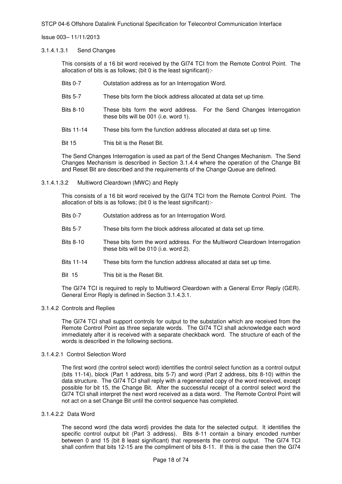Issue 003– 11/11/2013

#### 3.1.4.1.3.1 Send Changes

 This consists of a 16 bit word received by the GI74 TCI from the Remote Control Point. The allocation of bits is as follows; (bit 0 is the least significant):-

- Bits 0-7 Outstation address as for an Interrogation Word.
- Bits 5-7 These bits form the block address allocated at data set up time.
- Bits 8-10 These bits form the word address. For the Send Changes Interrogation these bits will be 001 (i.e. word 1).
- Bits 11-14 These bits form the function address allocated at data set up time.
- Bit 15 This bit is the Reset Bit.

 The Send Changes Interrogation is used as part of the Send Changes Mechanism. The Send Changes Mechanism is described in Section 3.1.4.4 where the operation of the Change Bit and Reset Bit are described and the requirements of the Change Queue are defined.

3.1.4.1.3.2 Multiword Cleardown (MWC) and Reply

 This consists of a 16 bit word received by the GI74 TCI from the Remote Control Point. The allocation of bits is as follows; (bit 0 is the least significant):-

- Bits 0-7 Outstation address as for an Interrogation Word.
- Bits 5-7 These bits form the block address allocated at data set up time.
- Bits 8-10 These bits form the word address. For the Multiword Cleardown Interrogation these bits will be 010 (i.e. word 2).
- Bits 11-14 These bits form the function address allocated at data set up time.
- Bit 15 This bit is the Reset Bit.

 The GI74 TCI is required to reply to Multiword Cleardown with a General Error Reply (GER). General Error Reply is defined in Section 3.1.4.3.1.

#### 3.1.4.2 Controls and Replies

 The GI74 TCI shall support controls for output to the substation which are received from the Remote Control Point as three separate words. The GI74 TCI shall acknowledge each word immediately after it is received with a separate checkback word. The structure of each of the words is described in the following sections.

#### 3.1.4.2.1 Control Selection Word

 The first word (the control select word) identifies the control select function as a control output (bits 11-14), block (Part 1 address, bits 5-7) and word (Part 2 address, bits 8-10) within the data structure. The GI74 TCI shall reply with a regenerated copy of the word received, except possible for bit 15, the Change Bit. After the successful receipt of a control select word the GI74 TCI shall interpret the next word received as a data word. The Remote Control Point will not act on a set Change Bit until the control sequence has completed.

## 3.1.4.2.2 Data Word

 The second word (the data word) provides the data for the selected output. It identifies the specific control output bit (Part 3 address). Bits 8-11 contain a binary encoded number between 0 and 15 (bit 8 least significant) that represents the control output. The GI74 TCI shall confirm that bits 12-15 are the compliment of bits 8-11. If this is the case then the GI74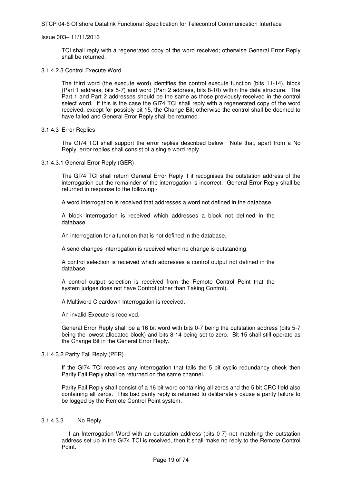Issue 003– 11/11/2013

TCI shall reply with a regenerated copy of the word received; otherwise General Error Reply shall be returned.

3.1.4.2.3 Control Execute Word

 The third word (the execute word) identifies the control execute function (bits 11-14), block (Part 1 address, bits 5-7) and word (Part 2 address, bits 8-10) within the data structure. The Part 1 and Part 2 addresses should be the same as those previously received in the control select word. If this is the case the GI74 TCI shall reply with a regenerated copy of the word received, except for possibly bit 15, the Change Bit; otherwise the control shall be deemed to have failed and General Error Reply shall be returned.

#### 3.1.4.3 Error Replies

 The GI74 TCI shall support the error replies described below. Note that, apart from a No Reply, error replies shall consist of a single word reply.

3.1.4.3.1 General Error Reply (GER)

 The GI74 TCI shall return General Error Reply if it recognises the outstation address of the interrogation but the remainder of the interrogation is incorrect. General Error Reply shall be returned in response to the following:-

A word interrogation is received that addresses a word not defined in the database.

 A block interrogation is received which addresses a block not defined in the database.

An interrogation for a function that is not defined in the database.

A send changes interrogation is received when no change is outstanding.

 A control selection is received which addresses a control output not defined in the database.

 A control output selection is received from the Remote Control Point that the system judges does not have Control (other than Taking Control).

A Multiword Cleardown Interrogation is received.

An invalid Execute is received.

 General Error Reply shall be a 16 bit word with bits 0-7 being the outstation address (bits 5-7 being the lowest allocated block) and bits 8-14 being set to zero. Bit 15 shall still operate as the Change Bit in the General Error Reply.

#### 3.1.4.3.2 Parity Fail Reply (PFR)

 If the GI74 TCI receives any interrogation that fails the 5 bit cyclic redundancy check then Parity Fail Reply shall be returned on the same channel.

 Parity Fail Reply shall consist of a 16 bit word containing all zeros and the 5 bit CRC field also containing all zeros. This bad parity reply is returned to deliberately cause a parity failure to be logged by the Remote Control Point system.

#### 3.1.4.3.3 No Reply

 If an Interrogation Word with an outstation address (bits 0-7) not matching the outstation address set up in the GI74 TCI is received, then it shall make no reply to the Remote Control Point.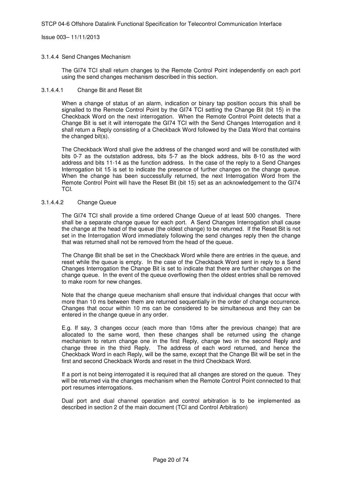Issue 003– 11/11/2013

#### 3.1.4.4 Send Changes Mechanism

 The GI74 TCI shall return changes to the Remote Control Point independently on each port using the send changes mechanism described in this section.

#### 3.1.4.4.1 Change Bit and Reset Bit

 When a change of status of an alarm, indication or binary tap position occurs this shall be signalled to the Remote Control Point by the GI74 TCI setting the Change Bit (bit 15) in the Checkback Word on the next interrogation. When the Remote Control Point detects that a Change Bit is set it will interrogate the GI74 TCI with the Send Changes Interrogation and it shall return a Reply consisting of a Checkback Word followed by the Data Word that contains the changed bit(s).

 The Checkback Word shall give the address of the changed word and will be constituted with bits 0-7 as the outstation address, bits 5-7 as the block address, bits 8-10 as the word address and bits 11-14 as the function address. In the case of the reply to a Send Changes Interrogation bit 15 is set to indicate the presence of further changes on the change queue. When the change has been successfully returned, the next Interrogation Word from the Remote Control Point will have the Reset Bit (bit 15) set as an acknowledgement to the GI74 TCI.

#### 3.1.4.4.2 Change Queue

 The GI74 TCI shall provide a time ordered Change Queue of at least 500 changes. There shall be a separate change queue for each port. A Send Changes Interrogation shall cause the change at the head of the queue (the oldest change) to be returned. If the Reset Bit is not set in the Interrogation Word immediately following the send changes reply then the change that was returned shall not be removed from the head of the queue.

 The Change Bit shall be set in the Checkback Word while there are entries in the queue, and reset while the queue is empty. In the case of the Checkback Word sent in reply to a Send Changes Interrogation the Change Bit is set to indicate that there are further changes on the change queue. In the event of the queue overflowing then the oldest entries shall be removed to make room for new changes.

 Note that the change queue mechanism shall ensure that individual changes that occur with more than 10 ms between them are returned sequentially in the order of change occurrence. Changes that occur within 10 ms can be considered to be simultaneous and they can be entered in the change queue in any order.

 E.g. If say, 3 changes occur (each more than 10ms after the previous change) that are allocated to the same word, then these changes shall be returned using the change mechanism to return change one in the first Reply, change two in the second Reply and change three in the third Reply. The address of each word returned, and hence the Checkback Word in each Reply, will be the same, except that the Change Bit will be set in the first and second Checkback Words and reset in the third Checkback Word.

 If a port is not being interrogated it is required that all changes are stored on the queue. They will be returned via the changes mechanism when the Remote Control Point connected to that port resumes interrogations.

 Dual port and dual channel operation and control arbitration is to be implemented as described in section 2 of the main document (TCI and Control Arbitration)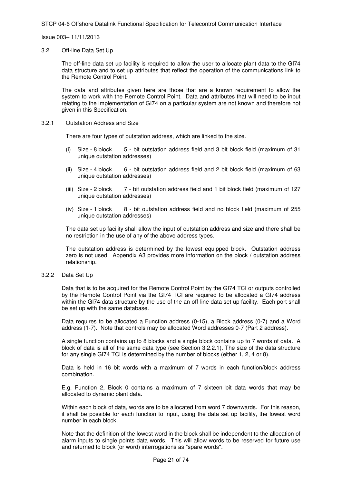Issue 003– 11/11/2013

#### 3.2 Off-line Data Set Up

 The off-line data set up facility is required to allow the user to allocate plant data to the GI74 data structure and to set up attributes that reflect the operation of the communications link to the Remote Control Point.

 The data and attributes given here are those that are a known requirement to allow the system to work with the Remote Control Point. Data and attributes that will need to be input relating to the implementation of GI74 on a particular system are not known and therefore not given in this Specification.

3.2.1 Outstation Address and Size

There are four types of outstation address, which are linked to the size.

- (i) Size 8 block 5 bit outstation address field and 3 bit block field (maximum of 31 unique outstation addresses)
- (ii) Size 4 block 6 bit outstation address field and 2 bit block field (maximum of 63 unique outstation addresses)
- (iii) Size 2 block 7 bit outstation address field and 1 bit block field (maximum of 127 unique outstation addresses)
- (iv) Size 1 block  $8$  bit outstation address field and no block field (maximum of 255 unique outstation addresses)

 The data set up facility shall allow the input of outstation address and size and there shall be no restriction in the use of any of the above address types.

 The outstation address is determined by the lowest equipped block. Outstation address zero is not used. Appendix A3 provides more information on the block / outstation address relationship.

#### 3.2.2 Data Set Up

 Data that is to be acquired for the Remote Control Point by the GI74 TCI or outputs controlled by the Remote Control Point via the GI74 TCI are required to be allocated a GI74 address within the GI74 data structure by the use of the an off-line data set up facility. Each port shall be set up with the same database.

 Data requires to be allocated a Function address (0-15), a Block address (0-7) and a Word address (1-7). Note that controls may be allocated Word addresses 0-7 (Part 2 address).

 A single function contains up to 8 blocks and a single block contains up to 7 words of data. A block of data is all of the same data type (see Section 3.2.2.1). The size of the data structure for any single GI74 TCI is determined by the number of blocks (either 1, 2, 4 or 8).

 Data is held in 16 bit words with a maximum of 7 words in each function/block address combination.

 E.g. Function 2, Block 0 contains a maximum of 7 sixteen bit data words that may be allocated to dynamic plant data.

 Within each block of data, words are to be allocated from word 7 downwards. For this reason, it shall be possible for each function to input, using the data set up facility, the lowest word number in each block.

 Note that the definition of the lowest word in the block shall be independent to the allocation of alarm inputs to single points data words. This will allow words to be reserved for future use and returned to block (or word) interrogations as "spare words".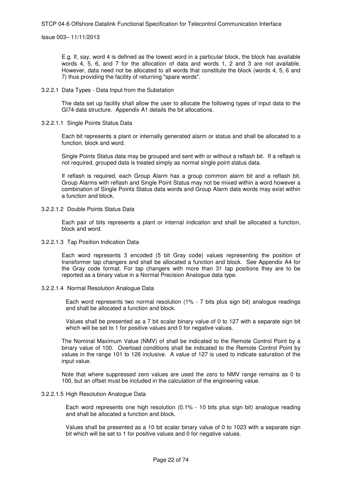E.g. If, say, word 4 is defined as the lowest word in a particular block, the block has available words 4, 5, 6, and 7 for the allocation of data and words 1, 2 and 3 are not available. However, data need not be allocated to all words that constitute the block (words 4, 5, 6 and 7) thus providing the facility of returning "spare words".

3.2.2.1 Data Types - Data Input from the Substation

 The data set up facility shall allow the user to allocate the following types of input data to the GI74 data structure. Appendix A1 details the bit allocations.

3.2.2.1.1 Single Points Status Data

 Each bit represents a plant or internally generated alarm or status and shall be allocated to a function, block and word.

 Single Points Status data may be grouped and sent with or without a reflash bit. If a reflash is not required, grouped data is treated simply as normal single point status data.

 If reflash is required, each Group Alarm has a group common alarm bit and a reflash bit. Group Alarms with reflash and Single Point Status may not be mixed within a word however a combination of Single Points Status data words and Group Alarm data words may exist within a function and block.

3.2.2.1.2 Double Points Status Data

 Each pair of bits represents a plant or internal indication and shall be allocated a function, block and word.

3.2.2.1.3 Tap Position Indication Data

 Each word represents 3 encoded (5 bit Gray code) values representing the position of transformer tap changers and shall be allocated a function and block. See Appendix A4 for the Gray code format. For tap changers with more than 31 tap positions they are to be reported as a binary value in a Normal Precision Analogue data type.

3.2.2.1.4 Normal Resolution Analogue Data

 Each word represents two normal resolution (1% - 7 bits plus sign bit) analogue readings and shall be allocated a function and block.

 Values shall be presented as a 7 bit scalar binary value of 0 to 127 with a separate sign bit which will be set to 1 for positive values and 0 for negative values.

 The Nominal Maximum Value (NMV) of shall be indicated to the Remote Control Point by a binary value of 100. Overload conditions shall be indicated to the Remote Control Point by values in the range 101 to 126 inclusive. A value of 127 is used to indicate saturation of the input value.

 Note that where suppressed zero values are used the zero to NMV range remains as 0 to 100, but an offset must be included in the calculation of the engineering value.

#### 3.2.2.1.5 High Resolution Analogue Data

 Each word represents one high resolution (0.1% - 10 bits plus sign bit) analogue reading and shall be allocated a function and block.

 Values shall be presented as a 10 bit scalar binary value of 0 to 1023 with a separate sign bit which will be set to 1 for positive values and 0 for negative values.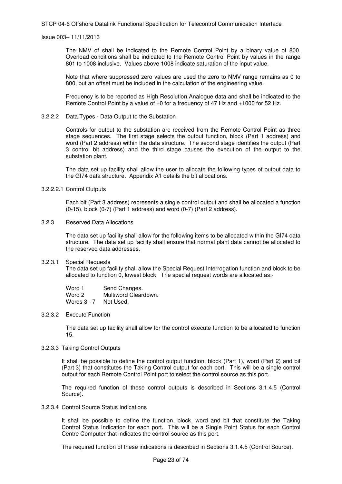The NMV of shall be indicated to the Remote Control Point by a binary value of 800. Overload conditions shall be indicated to the Remote Control Point by values in the range 801 to 1008 inclusive. Values above 1008 indicate saturation of the input value.

 Note that where suppressed zero values are used the zero to NMV range remains as 0 to 800, but an offset must be included in the calculation of the engineering value.

 Frequency is to be reported as High Resolution Analogue data and shall be indicated to the Remote Control Point by a value of +0 for a frequency of 47 Hz and +1000 for 52 Hz.

#### 3.2.2.2 Data Types - Data Output to the Substation

 Controls for output to the substation are received from the Remote Control Point as three stage sequences. The first stage selects the output function, block (Part 1 address) and word (Part 2 address) within the data structure. The second stage identifies the output (Part 3 control bit address) and the third stage causes the execution of the output to the substation plant.

 The data set up facility shall allow the user to allocate the following types of output data to the GI74 data structure. Appendix A1 details the bit allocations.

#### 3.2.2.2.1 Control Outputs

 Each bit (Part 3 address) represents a single control output and shall be allocated a function (0-15), block (0-7) (Part 1 address) and word (0-7) (Part 2 address).

#### 3.2.3 Reserved Data Allocations

 The data set up facility shall allow for the following items to be allocated within the GI74 data structure. The data set up facility shall ensure that normal plant data cannot be allocated to the reserved data addresses.

#### 3.2.3.1 Special Requests

 The data set up facility shall allow the Special Request Interrogation function and block to be allocated to function 0, lowest block. The special request words are allocated as:-

| Word 1        | Send Changes.        |
|---------------|----------------------|
| Word 2        | Multiword Cleardown. |
| Words $3 - 7$ | Not Used.            |

#### 3.2.3.2 Execute Function

 The data set up facility shall allow for the control execute function to be allocated to function 15.

#### 3.2.3.3 Taking Control Outputs

 It shall be possible to define the control output function, block (Part 1), word (Part 2) and bit (Part 3) that constitutes the Taking Control output for each port. This will be a single control output for each Remote Control Point port to select the control source as this port.

 The required function of these control outputs is described in Sections 3.1.4.5 (Control Source).

3.2.3.4 Control Source Status Indications

 It shall be possible to define the function, block, word and bit that constitute the Taking Control Status Indication for each port. This will be a Single Point Status for each Control Centre Computer that indicates the control source as this port.

The required function of these indications is described in Sections 3.1.4.5 (Control Source).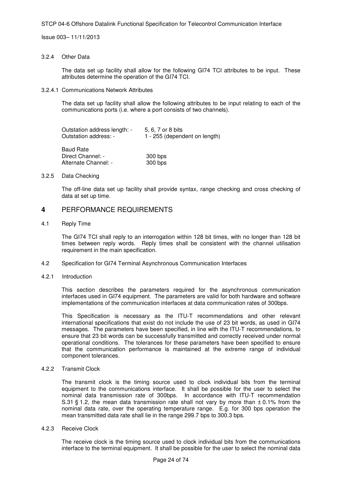Issue 003– 11/11/2013

#### 3.2.4 Other Data

 The data set up facility shall allow for the following GI74 TCI attributes to be input. These attributes determine the operation of the GI74 TCI.

#### 3.2.4.1 Communications Network Attributes

 The data set up facility shall allow the following attributes to be input relating to each of the communications ports (i.e. where a port consists of two channels).

| Outstation address length: -<br>Outstation address: - | 5, 6, 7 or 8 bits<br>1 - 255 (dependent on length) |
|-------------------------------------------------------|----------------------------------------------------|
| <b>Baud Rate</b>                                      |                                                    |
| Direct Channel: -                                     | 300 bps                                            |
| Alternate Channel: -                                  | 300 bps                                            |

#### 3.2.5 Data Checking

 The off-line data set up facility shall provide syntax, range checking and cross checking of data at set up time.

## **4** PERFORMANCE REQUIREMENTS

#### 4.1 Reply Time

 The GI74 TCI shall reply to an interrogation within 128 bit times, with no longer than 128 bit times between reply words. Reply times shall be consistent with the channel utilisation requirement in the main specification.

4.2 Specification for GI74 Terminal Asynchronous Communication Interfaces

#### 4.2.1 Introduction

 This section describes the parameters required for the asynchronous communication interfaces used in GI74 equipment. The parameters are valid for both hardware and software implementations of the communication interfaces at data communication rates of 300bps.

 This Specification is necessary as the ITU-T recommendations and other relevant international specifications that exist do not include the use of 23 bit words, as used in GI74 messages. The parameters have been specified, in line with the ITU-T recommendations, to ensure that 23 bit words can be successfully transmitted and correctly received under normal operational conditions. The tolerances for these parameters have been specified to ensure that the communication performance is maintained at the extreme range of individual component tolerances.

#### 4.2.2 Transmit Clock

 The transmit clock is the timing source used to clock individual bits from the terminal equipment to the communications interface. It shall be possible for the user to select the nominal data transmission rate of 300bps. In accordance with ITU-T recommendation S.31 § 1.2, the mean data transmission rate shall not vary by more than  $\pm$  0.1% from the nominal data rate, over the operating temperature range. E.g. for 300 bps operation the mean transmitted data rate shall lie in the range 299.7 bps to 300.3 bps.

#### 4.2.3 Receive Clock

 The receive clock is the timing source used to clock individual bits from the communications interface to the terminal equipment. It shall be possible for the user to select the nominal data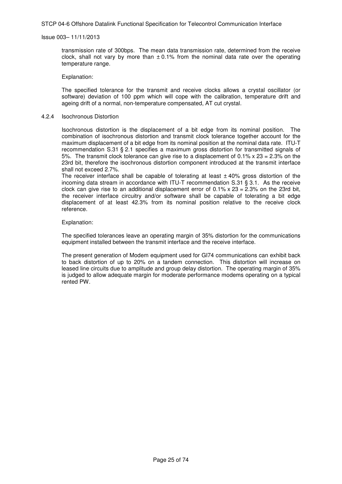transmission rate of 300bps. The mean data transmission rate, determined from the receive clock, shall not vary by more than  $\pm$  0.1% from the nominal data rate over the operating temperature range.

#### Explanation:

 The specified tolerance for the transmit and receive clocks allows a crystal oscillator (or software) deviation of 100 ppm which will cope with the calibration, temperature drift and ageing drift of a normal, non-temperature compensated, AT cut crystal.

#### 4.2.4 Isochronous Distortion

 Isochronous distortion is the displacement of a bit edge from its nominal position. The combination of isochronous distortion and transmit clock tolerance together account for the maximum displacement of a bit edge from its nominal position at the nominal data rate. ITU-T recommendation S.31 § 2.1 specifies a maximum gross distortion for transmitted signals of 5%. The transmit clock tolerance can give rise to a displacement of  $0.1\% \times 23 = 2.3\%$  on the 23rd bit, therefore the isochronous distortion component introduced at the transmit interface shall not exceed 2.7%.

The receiver interface shall be capable of tolerating at least  $\pm$  40% gross distortion of the incoming data stream in accordance with ITU-T recommendation S.31 § 3.1. As the receive clock can give rise to an additional displacement error of  $0.1\%$  x  $23 = 2.3\%$  on the 23rd bit, the receiver interface circuitry and/or software shall be capable of tolerating a bit edge displacement of at least 42.3% from its nominal position relative to the receive clock reference.

#### Explanation:

 The specified tolerances leave an operating margin of 35% distortion for the communications equipment installed between the transmit interface and the receive interface.

 The present generation of Modem equipment used for GI74 communications can exhibit back to back distortion of up to 20% on a tandem connection. This distortion will increase on leased line circuits due to amplitude and group delay distortion. The operating margin of 35% is judged to allow adequate margin for moderate performance modems operating on a typical rented PW.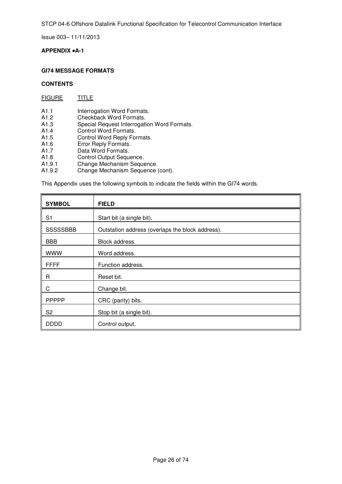Issue 003– 11/11/2013

## **APPENDIX** •**A-1**

## **GI74 MESSAGE FORMATS**

## **CONTENTS**

| IGURF |  |
|-------|--|
|       |  |

- A1.1 Interrogation Word Formats.<br>A1.2 Checkback Word Formats.
- Checkback Word Formats.
- A1.3 Special Request Interrogation Word Formats.
- A1.4 Control Word Formats.<br>A1.5 Control Word Reply For
- A1.5 Control Word Reply Formats.<br>A1.6 Error Reply Formats.
- A1.6 Error Reply Formats.<br>A1.7 Data Word Formats.
- A1.7 Data Word Formats.<br>A1.8 Control Output Sequ
- A1.8 Control Output Sequence.<br>A1.9.1 Change Mechanism Seque
- A1.9.1 Change Mechanism Sequence.<br>A1.9.2 Change Mechanism Sequence (
- Change Mechanism Sequence (cont).

This Appendix uses the following symbols to indicate the fields within the GI74 words.

| <b>SYMBOL</b>   | <b>FIELD</b>                                     |
|-----------------|--------------------------------------------------|
| S <sub>1</sub>  | Start bit (a single bit).                        |
| <b>SSSSSBBB</b> | Outstation address (overlaps the block address). |
| <b>BBB</b>      | Block address.                                   |
| <b>WWW</b>      | Word address.                                    |
| <b>FFFF</b>     | Function address.                                |
| R               | Reset bit.                                       |
| С               | Change bit.                                      |
| <b>PPPPP</b>    | CRC (parity) bits.                               |
| S <sub>2</sub>  | Stop bit (a single bit).                         |
| <b>DDDD</b>     | Control output.                                  |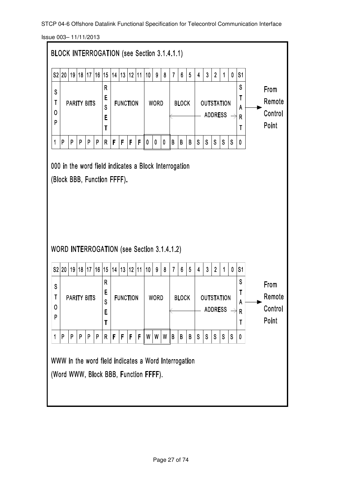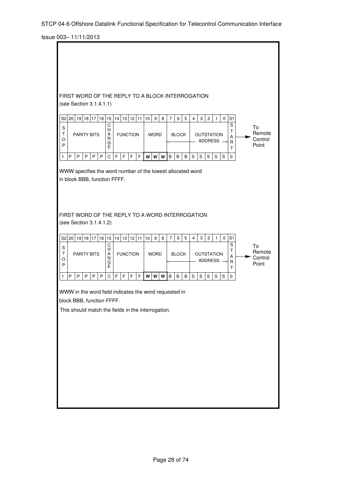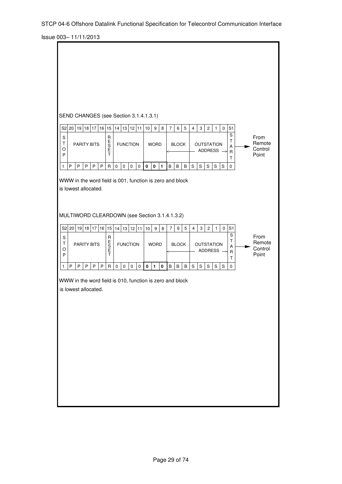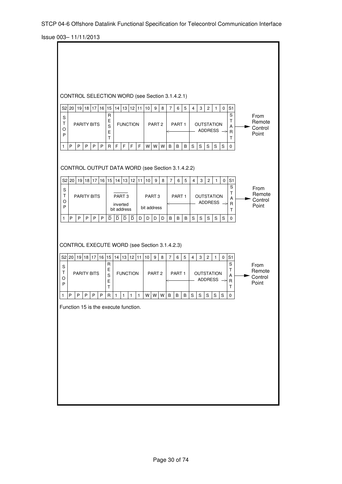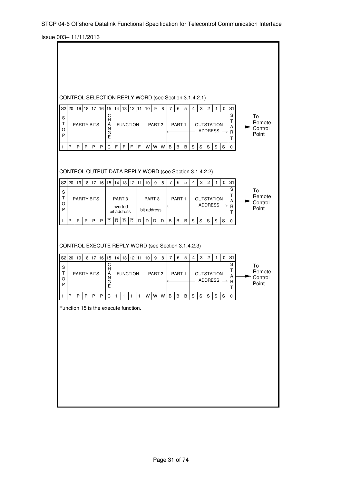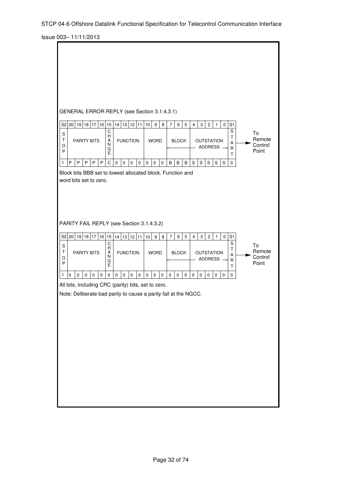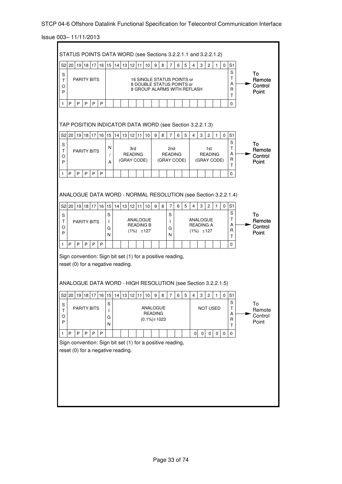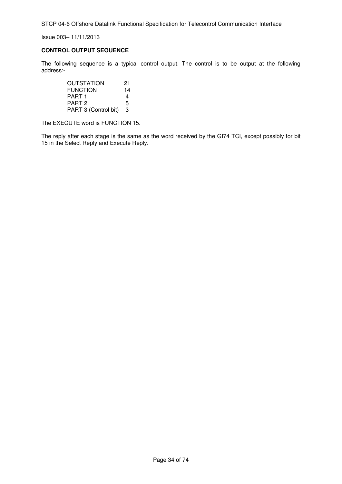Issue 003– 11/11/2013

## **CONTROL OUTPUT SEQUENCE**

The following sequence is a typical control output. The control is to be output at the following address:-

OUTSTATION 21 FUNCTION 14 PART 1 4<br>PART 2 5 PART<sub>2</sub> PART 3 (Control bit) 3

The EXECUTE word is FUNCTION 15.

The reply after each stage is the same as the word received by the GI74 TCI, except possibly for bit 15 in the Select Reply and Execute Reply.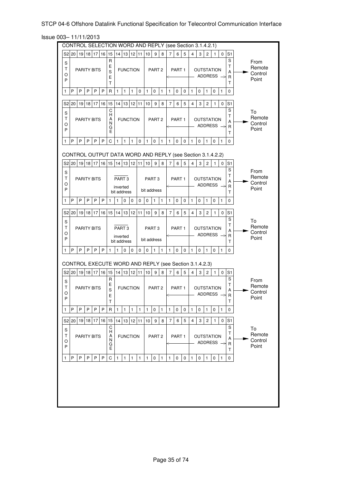Issue 003– 11/11/2013

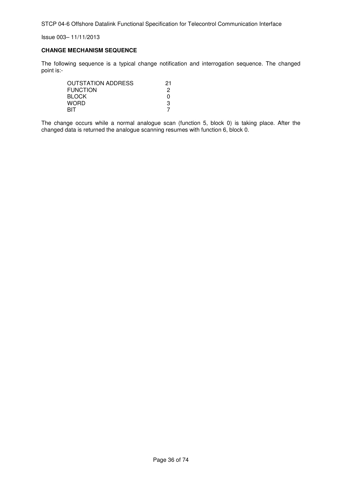Issue 003– 11/11/2013

## **CHANGE MECHANISM SEQUENCE**

The following sequence is a typical change notification and interrogation sequence. The changed point is:-

| OUTSTATION ADDRESS | 21 |
|--------------------|----|
| FUNCTION           | 2  |
| BLOCK              | O  |
| WORD               | з  |
| BIT                |    |

The change occurs while a normal analogue scan (function 5, block 0) is taking place. After the changed data is returned the analogue scanning resumes with function 6, block 0.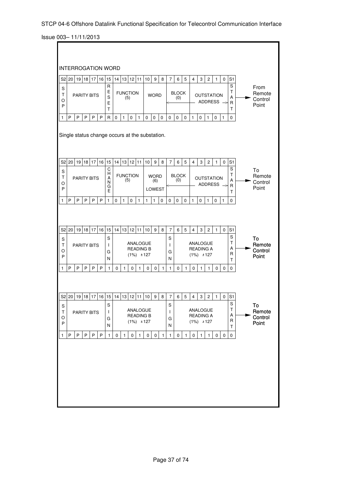Issue 003– 11/11/2013

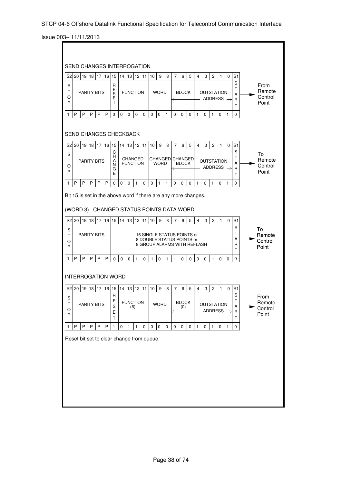Issue 003– 11/11/2013

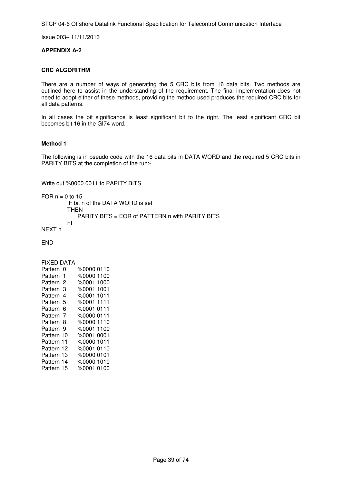Issue 003– 11/11/2013

#### **APPENDIX A-2**

#### **CRC ALGORITHM**

There are a number of ways of generating the 5 CRC bits from 16 data bits. Two methods are outlined here to assist in the understanding of the requirement. The final implementation does not need to adopt either of these methods, providing the method used produces the required CRC bits for all data patterns.

In all cases the bit significance is least significant bit to the right. The least significant CRC bit becomes bit 16 in the GI74 word.

#### **Method 1**

The following is in pseudo code with the 16 data bits in DATA WORD and the required 5 CRC bits in PARITY BITS at the completion of the run:-

Write out %0000 0011 to PARITY BITS

FOR  $n = 0$  to 15

FI

IF bit n of the DATA WORD is set

THEN PARITY BITS = EOR of PATTERN n with PARITY BITS

NEXT n

END

#### FIXED DATA

| Pattern<br>0 | %0000 0110 |
|--------------|------------|
| Pattern<br>1 | %0000 1100 |
| 2<br>Pattern | %0001 1000 |
| 3<br>Pattern | %0001 1001 |
| 4<br>Pattern | %0001 1011 |
| 5<br>Pattern | %0001 1111 |
| 6<br>Pattern | %0001 0111 |
| 7<br>Pattern | %0000 0111 |
| 8<br>Pattern | %0000 1110 |
| 9<br>Pattern | %0001 1100 |
| Pattern 10   | %0001 0001 |
| Pattern 11   | %0000 1011 |
| Pattern 12   | %0001 0110 |
| Pattern 13   | %0000 0101 |
| Pattern 14   | %0000 1010 |
| Pattern 15   | %0001 0100 |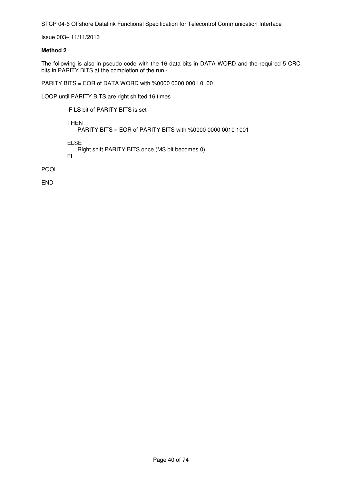Issue 003– 11/11/2013

#### **Method 2**

The following is also in pseudo code with the 16 data bits in DATA WORD and the required 5 CRC bits in PARITY BITS at the completion of the run:-

PARITY BITS = EOR of DATA WORD with %0000 0000 0001 0100

LOOP until PARITY BITS are right shifted 16 times

IF LS bit of PARITY BITS is set

THEN

PARITY BITS = EOR of PARITY BITS with %0000 0000 0010 1001

ELSE

Right shift PARITY BITS once (MS bit becomes 0)

FI

POOL

END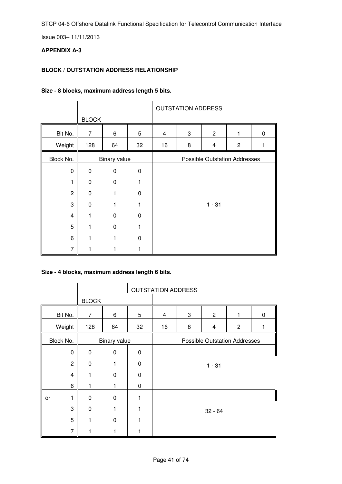Issue 003– 11/11/2013

# **APPENDIX A-3**

# **BLOCK / OUTSTATION ADDRESS RELATIONSHIP**

#### **Size - 8 blocks, maximum address length 5 bits.**

|                |              |             |          | <b>OUTSTATION ADDRESS</b> |   |                |                                      |           |
|----------------|--------------|-------------|----------|---------------------------|---|----------------|--------------------------------------|-----------|
|                | <b>BLOCK</b> |             |          |                           |   |                |                                      |           |
| Bit No.        | 7            | 6           | 5        | 4                         | 3 | $\overline{2}$ |                                      | $\pmb{0}$ |
| Weight         | 128          | 64          | 32       | 16                        | 8 | 4              | $\overline{2}$                       |           |
| Block No.      | Binary value |             |          |                           |   |                | <b>Possible Outstation Addresses</b> |           |
| $\mathbf 0$    | 0            | 0           | 0        |                           |   |                |                                      |           |
| 1              | 0            | 0           | 1        |                           |   |                |                                      |           |
| $\overline{c}$ | 0            | 1           | $\Omega$ |                           |   |                |                                      |           |
| 3              | 0            | 1           | 1        |                           |   | $1 - 31$       |                                      |           |
| 4              | 1            | 0           | 0        |                           |   |                |                                      |           |
| 5              | 1            | $\mathbf 0$ |          |                           |   |                |                                      |           |
| 6              | 1            | 1           | $\Omega$ |                           |   |                |                                      |           |
| 7              | 1            |             |          |                           |   |                |                                      |           |

# **Size - 4 blocks, maximum address length 6 bits.**

|                |                |              |             | <b>OUTSTATION ADDRESS</b> |   |                |                                      |             |
|----------------|----------------|--------------|-------------|---------------------------|---|----------------|--------------------------------------|-------------|
|                | <b>BLOCK</b>   |              |             |                           |   |                |                                      |             |
| Bit No.        | 7              | 6            | 5           | 4                         | 3 | $\overline{c}$ |                                      | $\mathbf 0$ |
| Weight         | 128            | 64           | 32          | 16                        | 8 | 4              | $\overline{2}$                       |             |
| Block No.      |                | Binary value |             |                           |   |                | <b>Possible Outstation Addresses</b> |             |
| 0              | 0              | 0            | 0           |                           |   |                |                                      |             |
| $\overline{c}$ | $\overline{0}$ | 1            | $\mathbf 0$ |                           |   | $1 - 31$       |                                      |             |
| 4              | 1              | $\mathbf 0$  | 0           |                           |   |                |                                      |             |
| 6              |                |              | 0           |                           |   |                |                                      |             |
| 1<br>or        | 0              | $\Omega$     | 1           |                           |   |                |                                      |             |
| 3              | $\overline{0}$ | 1            | 1           |                           |   | $32 - 64$      |                                      |             |
| 5              | 1              | $\Omega$     |             |                           |   |                |                                      |             |
| $\overline{7}$ |                |              |             |                           |   |                |                                      |             |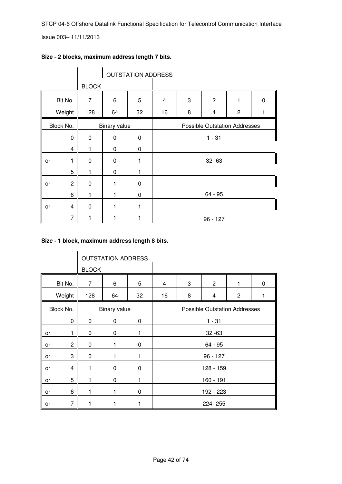Issue 003– 11/11/2013

|    |                |              | <b>OUTSTATION ADDRESS</b> |             |    |   |                                      |                |           |
|----|----------------|--------------|---------------------------|-------------|----|---|--------------------------------------|----------------|-----------|
|    |                | <b>BLOCK</b> |                           |             |    |   |                                      |                |           |
|    | Bit No.        | 7            | 6                         | 5           | 4  | 3 | $\overline{2}$                       |                | $\pmb{0}$ |
|    | Weight         | 128          | 64                        | 32          | 16 | 8 | 4                                    | $\overline{c}$ |           |
|    | Block No.      |              | <b>Binary value</b>       |             |    |   | <b>Possible Outstation Addresses</b> |                |           |
|    | 0              | 0            | 0                         | $\mathbf 0$ |    |   | $1 - 31$                             |                |           |
|    | 4              | 1            | 0                         | 0           |    |   |                                      |                |           |
| or | 1              | $\Omega$     | $\Omega$                  | 1           |    |   | $32 - 63$                            |                |           |
|    | 5              | 1            | $\Omega$                  |             |    |   |                                      |                |           |
| or | $\overline{c}$ | $\mathbf 0$  |                           | $\mathbf 0$ |    |   |                                      |                |           |
|    | 6              | 1            |                           | 0           |    |   | $64 - 95$                            |                |           |
| or | 4              | $\Omega$     |                           | 1           |    |   |                                      |                |           |
|    | $\overline{7}$ |              |                           |             |    |   | $96 - 127$                           |                |           |

# **Size - 2 blocks, maximum address length 7 bits.**

# **Size - 1 block, maximum address length 8 bits.**

|                 |                | <b>BLOCK</b> | <b>OUTSTATION ADDRESS</b> |             |           |   |                |                                      |   |
|-----------------|----------------|--------------|---------------------------|-------------|-----------|---|----------------|--------------------------------------|---|
|                 | Bit No.        | 7            | 6                         | 5           | 4         | 3 | $\overline{2}$ | 1                                    | 0 |
|                 | Weight         | 128          | 64                        | 32          | 16        | 8 | 4              | $\overline{c}$                       | 1 |
|                 | Block No.      | Binary value |                           |             |           |   |                | <b>Possible Outstation Addresses</b> |   |
|                 | 0              | 0            | 0                         | 0           | $1 - 31$  |   |                |                                      |   |
| or              | 1              | 0            | 0                         | 1           |           |   | $32 - 63$      |                                      |   |
| or              | $\overline{c}$ | 0            | 1                         | 0           |           |   | 64 - 95        |                                      |   |
| or              | 3              | 0            | 1                         | 1           |           |   | 96 - 127       |                                      |   |
| $\mathsf{or}\,$ | 4              | 1            | 0                         | $\mathbf 0$ | 128 - 159 |   |                |                                      |   |
| $\mathsf{or}\,$ | 5              | 1            | 0                         | 1           | 160 - 191 |   |                |                                      |   |
| or              | 6              | 1            | 1                         | 0           | 192 - 223 |   |                |                                      |   |
| or              | 7              | 1            | 1                         |             |           |   | 224-255        |                                      |   |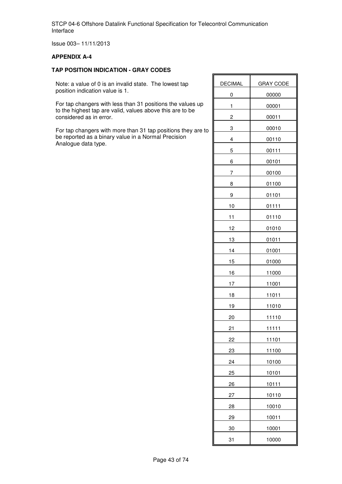Issue 003– 11/11/2013

#### **APPENDIX A-4**

# **TAP POSITION INDICATION - GRAY CODES**

Note: a value of 0 is an invalid state. The lowest tap position indication value is 1.

For tap changers with less than 31 positions the values up to the highest tap are valid, values above this are to be considered as in error.

For tap changers with more than 31 tap positions they are to be reported as a binary value in a Normal Precision Analogue data type.

| <b>DECIMAL</b> | <b>GRAY CODE</b> |
|----------------|------------------|
| 0              | 00000            |
| 1              | <u>00001</u>     |
| 2              | 00011            |
| 3              | 00010            |
| 4              | 00110            |
| 5              | 00111            |
| 6              | 00101            |
| 7              | 00100            |
| 8              | 01100            |
| 9              | 01101            |
| 10             | 01111            |
| 11             | 01110            |
| 12             | 01010            |
| 13             | 01011            |
| <u>14</u>      | <u>01001</u>     |
| 15             | 01000            |
| 16             | 11000            |
| 17             | 11001            |
| 18             | 11011            |
| 19             | 11010            |
| 20             | 11110            |
| 21             | 11111            |
| 22             | 11101            |
| 23             | 11100            |
| 24             | 10100            |
| 25             | 10101            |
| 26             | 10111            |
| 27             | 10110            |
| 28             | 10010            |
| 29             | 10011            |
| 30             | 10001            |
| 31             | 10000            |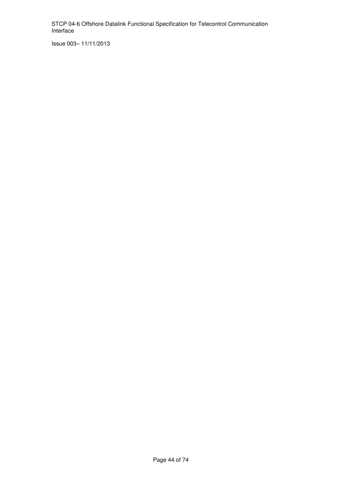Issue 003– 11/11/2013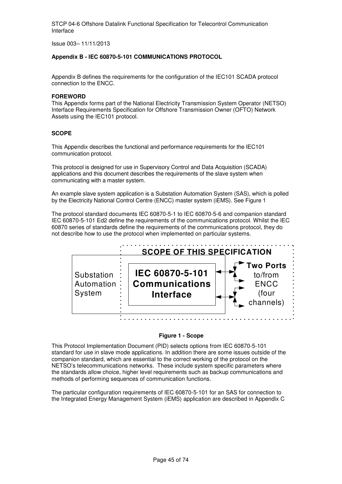Issue 003– 11/11/2013

### **Appendix B - IEC 60870-5-101 COMMUNICATIONS PROTOCOL**

Appendix B defines the requirements for the configuration of the IEC101 SCADA protocol connection to the ENCC.

#### **FOREWORD**

This Appendix forms part of the National Electricity Transmission System Operator (NETSO) Interface Requirements Specification for Offshore Transmission Owner (OFTO) Network Assets using the IEC101 protocol.

#### **SCOPE**

This Appendix describes the functional and performance requirements for the IEC101 communication protocol.

This protocol is designed for use in Supervisory Control and Data Acquisition (SCADA) applications and this document describes the requirements of the slave system when communicating with a master system.

An example slave system application is a Substation Automation System (SAS), which is polled by the Electricity National Control Centre (ENCC) master system (iEMS). See Figure 1

The protocol standard documents IEC 60870-5-1 to IEC 60870-5-6 and companion standard IEC 60870-5-101 Ed2 define the requirements of the communications protocol. Whilst the IEC 60870 series of standards define the requirements of the communications protocol, they do not describe how to use the protocol when implemented on particular systems.



#### **Figure 1 - Scope**

This Protocol Implementation Document (PID) selects options from IEC 60870-5-101 standard for use in slave mode applications. In addition there are some issues outside of the companion standard, which are essential to the correct working of the protocol on the NETSO's telecommunications networks. These include system specific parameters where the standards allow choice, higher level requirements such as backup communications and methods of performing sequences of communication functions.

The particular configuration requirements of IEC 60870-5-101 for an SAS for connection to the Integrated Energy Management System (iEMS) application are described in Appendix C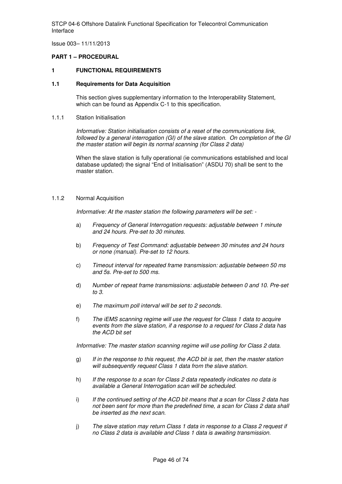Issue 003– 11/11/2013

# **PART 1 – PROCEDURAL**

#### **1 FUNCTIONAL REQUIREMENTS**

#### **1.1 Requirements for Data Acquisition**

This section gives supplementary information to the Interoperability Statement, which can be found as Appendix C-1 to this specification.

#### 1.1.1 Station Initialisation

Informative: Station initialisation consists of a reset of the communications link, followed by a general interrogation (GI) of the slave station. On completion of the GI the master station will begin its normal scanning (for Class 2 data)

When the slave station is fully operational (ie communications established and local database updated) the signal "End of Initialisation" (ASDU 70) shall be sent to the master station.

#### 1.1.2 Normal Acquisition

Informative: At the master station the following parameters will be set: -

- a) Frequency of General Interrogation requests: adjustable between 1 minute and 24 hours. Pre-set to 30 minutes.
- b) Frequency of Test Command: adjustable between 30 minutes and 24 hours or none (manual). Pre-set to 12 hours.
- c) Timeout interval for repeated frame transmission: adjustable between 50 ms and 5s. Pre-set to 500 ms.
- d) Number of repeat frame transmissions: adjustable between 0 and 10. Pre-set  $to 3.$
- e) The maximum poll interval will be set to 2 seconds.
- f) The iEMS scanning regime will use the request for Class 1 data to acquire events from the slave station, if a response to a request for Class 2 data has the ACD bit set

Informative: The master station scanning regime will use polling for Class 2 data.

- g) If in the response to this request, the ACD bit is set, then the master station will subsequently request Class 1 data from the slave station.
- h) If the response to a scan for Class 2 data repeatedly indicates no data is available a General Interrogation scan will be scheduled.
- i) If the continued setting of the ACD bit means that a scan for Class 2 data has not been sent for more than the predefined time, a scan for Class 2 data shall be inserted as the next scan.
- j) The slave station may return Class 1 data in response to a Class 2 request if no Class 2 data is available and Class 1 data is awaiting transmission.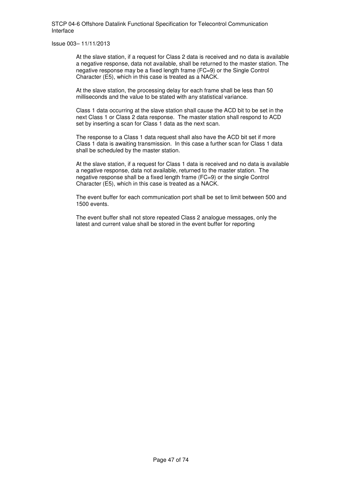Issue 003– 11/11/2013

At the slave station, if a request for Class 2 data is received and no data is available a negative response, data not available, shall be returned to the master station. The negative response may be a fixed length frame (FC=9) or the Single Control Character (E5), which in this case is treated as a NACK.

At the slave station, the processing delay for each frame shall be less than 50 milliseconds and the value to be stated with any statistical variance.

Class 1 data occurring at the slave station shall cause the ACD bit to be set in the next Class 1 or Class 2 data response. The master station shall respond to ACD set by inserting a scan for Class 1 data as the next scan.

The response to a Class 1 data request shall also have the ACD bit set if more Class 1 data is awaiting transmission. In this case a further scan for Class 1 data shall be scheduled by the master station.

At the slave station, if a request for Class 1 data is received and no data is available a negative response, data not available, returned to the master station. The negative response shall be a fixed length frame (FC=9) or the single Control Character (E5), which in this case is treated as a NACK.

The event buffer for each communication port shall be set to limit between 500 and 1500 events.

The event buffer shall not store repeated Class 2 analogue messages, only the latest and current value shall be stored in the event buffer for reporting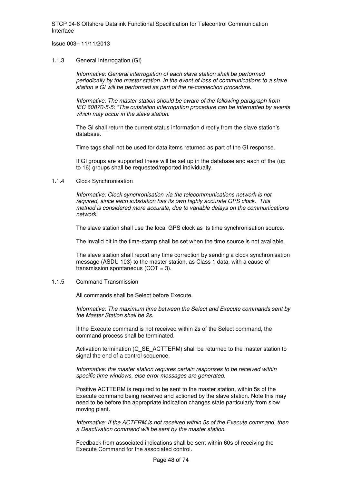Issue 003– 11/11/2013

#### 1.1.3 General Interrogation (GI)

Informative: General interrogation of each slave station shall be performed periodically by the master station. In the event of loss of communications to a slave station a GI will be performed as part of the re-connection procedure.

Informative: The master station should be aware of the following paragraph from IEC 60870-5-5: "The outstation interrogation procedure can be interrupted by events which may occur in the slave station.

The GI shall return the current status information directly from the slave station's database.

Time tags shall not be used for data items returned as part of the GI response.

If GI groups are supported these will be set up in the database and each of the (up to 16) groups shall be requested/reported individually.

#### 1.1.4 Clock Synchronisation

Informative: Clock synchronisation via the telecommunications network is not required, since each substation has its own highly accurate GPS clock. This method is considered more accurate, due to variable delays on the communications network.

The slave station shall use the local GPS clock as its time synchronisation source.

The invalid bit in the time-stamp shall be set when the time source is not available.

The slave station shall report any time correction by sending a clock synchronisation message (ASDU 103) to the master station, as Class 1 data, with a cause of transmission spontaneous  $(COT = 3)$ .

#### 1.1.5 Command Transmission

All commands shall be Select before Execute.

Informative: The maximum time between the Select and Execute commands sent by the Master Station shall be 2s.

If the Execute command is not received within 2s of the Select command, the command process shall be terminated.

Activation termination (C\_SE\_ACTTERM) shall be returned to the master station to signal the end of a control sequence.

Informative: the master station requires certain responses to be received within specific time windows, else error messages are generated.

Positive ACTTERM is required to be sent to the master station, within 5s of the Execute command being received and actioned by the slave station. Note this may need to be before the appropriate indication changes state particularly from slow moving plant.

Informative: If the ACTERM is not received within 5s of the Execute command, then a Deactivation command will be sent by the master station.

Feedback from associated indications shall be sent within 60s of receiving the Execute Command for the associated control.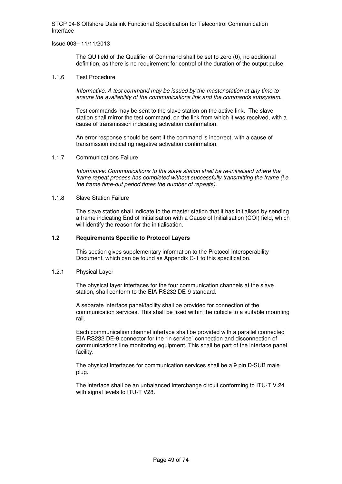Issue 003– 11/11/2013

The QU field of the Qualifier of Command shall be set to zero (0), no additional definition, as there is no requirement for control of the duration of the output pulse.

#### 1.1.6 Test Procedure

Informative: A test command may be issued by the master station at any time to ensure the availability of the communications link and the commands subsystem.

Test commands may be sent to the slave station on the active link. The slave station shall mirror the test command, on the link from which it was received, with a cause of transmission indicating activation confirmation.

An error response should be sent if the command is incorrect, with a cause of transmission indicating negative activation confirmation.

1.1.7 Communications Failure

Informative: Communications to the slave station shall be re-initialised where the frame repeat process has completed without successfully transmitting the frame (i.e. the frame time-out period times the number of repeats).

1.1.8 Slave Station Failure

The slave station shall indicate to the master station that it has initialised by sending a frame indicating End of Initialisation with a Cause of Initialisation (COI) field, which will identify the reason for the initialisation.

#### **1.2 Requirements Specific to Protocol Layers**

This section gives supplementary information to the Protocol Interoperability Document, which can be found as Appendix C-1 to this specification.

#### 1.2.1 Physical Layer

The physical layer interfaces for the four communication channels at the slave station, shall conform to the EIA RS232 DE-9 standard.

A separate interface panel/facility shall be provided for connection of the communication services. This shall be fixed within the cubicle to a suitable mounting rail.

Each communication channel interface shall be provided with a parallel connected EIA RS232 DE-9 connector for the "in service" connection and disconnection of communications line monitoring equipment. This shall be part of the interface panel facility.

The physical interfaces for communication services shall be a 9 pin D-SUB male plug.

The interface shall be an unbalanced interchange circuit conforming to ITU-T V.24 with signal levels to ITU-T V28.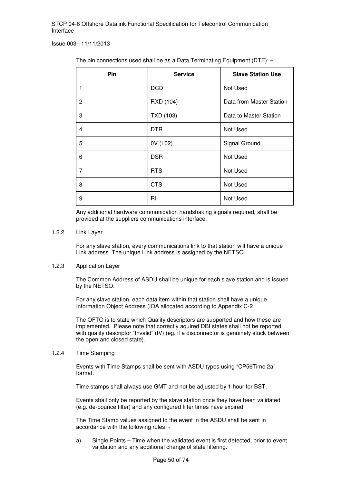Issue 003– 11/11/2013

| <b>Pin</b> | <b>Service</b>   | <b>Slave Station Use</b> |
|------------|------------------|--------------------------|
| 1          | <b>DCD</b>       | Not Used                 |
| 2          | RXD (104)        | Data from Master Station |
| 3          | <b>TXD (103)</b> | Data to Master Station   |
| 4          | DTR.             | Not Used                 |
| 5          | 0V (102)         | Signal Ground            |
| 6          | <b>DSR</b>       | Not Used                 |
| 7          | <b>RTS</b>       | Not Used                 |
| 8          | <b>CTS</b>       | Not Used                 |
| 9          | RI               | Not Used                 |

The pin connections used shall be as a Data Terminating Equipment (DTE): –

Any additional hardware communication handshaking signals required, shall be provided at the suppliers communications interface.

#### 1.2.2 Link Layer

For any slave station, every communications link to that station will have a unique Link address. The unique Link address is assigned by the NETSO.

#### 1.2.3 Application Layer

The Common Address of ASDU shall be unique for each slave station and is issued by the NETSO.

For any slave station, each data item within that station shall have a unique Information Object Address (IOA allocated according to Appendix C-2

The OFTO is to state which Quality descriptors are supported and how these are implemented. Please note that correctly aquired DBI states shall not be reported with quality descriptor "Invalid" (IV) (eg. if a disconnector is genuinely stuck between the open and closed state).

1.2.4 Time Stamping

Events with Time Stamps shall be sent with ASDU types using "CP56Time 2a" format.

Time stamps shall always use GMT and not be adjusted by 1 hour for BST.

Events shall only be reported by the slave station once they have been validated (e.g. de-bounce filter) and any configured filter times have expired.

The Time Stamp values assigned to the event in the ASDU shall be sent in accordance with the following rules: -

a) Single Points – Time when the validated event is first detected, prior to event validation and any additional change of state filtering.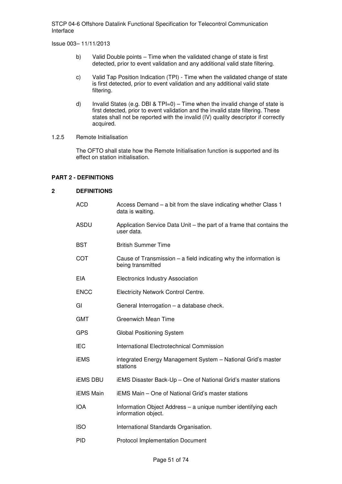Issue 003– 11/11/2013

- b) Valid Double points Time when the validated change of state is first detected, prior to event validation and any additional valid state filtering.
- c) Valid Tap Position Indication (TPI) Time when the validated change of state is first detected, prior to event validation and any additional valid state filtering.
- d) Invalid States (e.g. DBI & TPI=0) Time when the invalid change of state is first detected, prior to event validation and the invalid state filtering. These states shall not be reported with the invalid (IV) quality descriptor if correctly acquired.
- 1.2.5 Remote Initialisation

The OFTO shall state how the Remote Initialisation function is supported and its effect on station initialisation.

#### **PART 2 - DEFINITIONS**

#### **2 DEFINITIONS**

| <b>ACD</b>       | Access Demand – a bit from the slave indicating whether Class 1<br>data is waiting.      |
|------------------|------------------------------------------------------------------------------------------|
| <b>ASDU</b>      | Application Service Data Unit – the part of a frame that contains the<br>user data.      |
| <b>BST</b>       | <b>British Summer Time</b>                                                               |
| COT              | Cause of Transmission $-$ a field indicating why the information is<br>being transmitted |
| EIA              | <b>Electronics Industry Association</b>                                                  |
| <b>ENCC</b>      | <b>Electricity Network Control Centre.</b>                                               |
| GI               | General Interrogation - a database check.                                                |
| <b>GMT</b>       | <b>Greenwich Mean Time</b>                                                               |
| <b>GPS</b>       | <b>Global Positioning System</b>                                                         |
| <b>IEC</b>       | International Electrotechnical Commission                                                |
| <b>iEMS</b>      | integrated Energy Management System - National Grid's master<br>stations                 |
| <b>iEMS DBU</b>  | iEMS Disaster Back-Up - One of National Grid's master stations                           |
| <b>iEMS Main</b> | iEMS Main - One of National Grid's master stations                                       |
| <b>IOA</b>       | Information Object Address - a unique number identifying each<br>information object.     |
| <b>ISO</b>       | International Standards Organisation.                                                    |
| <b>PID</b>       | <b>Protocol Implementation Document</b>                                                  |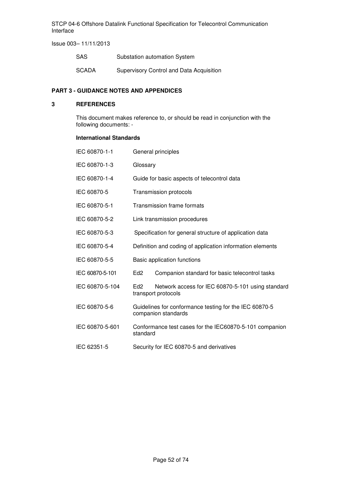Issue 003– 11/11/2013

| SAS   | Substation automation System             |
|-------|------------------------------------------|
| SCADA | Supervisory Control and Data Acquisition |

#### **PART 3 - GUIDANCE NOTES AND APPENDICES**

# **3 REFERENCES**

This document makes reference to, or should be read in conjunction with the following documents: -

### **International Standards**

| IEC 60870-1-1   | General principles                                                                          |  |  |  |  |
|-----------------|---------------------------------------------------------------------------------------------|--|--|--|--|
| IEC 60870-1-3   | Glossary                                                                                    |  |  |  |  |
| IEC 60870-1-4   | Guide for basic aspects of telecontrol data                                                 |  |  |  |  |
| IEC 60870-5     | Transmission protocols                                                                      |  |  |  |  |
| IEC 60870-5-1   | <b>Transmission frame formats</b>                                                           |  |  |  |  |
| IEC 60870-5-2   | Link transmission procedures                                                                |  |  |  |  |
| IEC 60870-5-3   | Specification for general structure of application data                                     |  |  |  |  |
| IEC 60870-5-4   | Definition and coding of application information elements                                   |  |  |  |  |
| IEC 60870-5-5   | Basic application functions                                                                 |  |  |  |  |
| IEC 60870-5-101 | Ed <sub>2</sub><br>Companion standard for basic telecontrol tasks                           |  |  |  |  |
| IEC 60870-5-104 | Network access for IEC 60870-5-101 using standard<br>Ed <sub>2</sub><br>transport protocols |  |  |  |  |
| IEC 60870-5-6   | Guidelines for conformance testing for the IEC 60870-5<br>companion standards               |  |  |  |  |
| IEC 60870-5-601 | Conformance test cases for the IEC60870-5-101 companion<br>standard                         |  |  |  |  |
| IEC 62351-5     | Security for IEC 60870-5 and derivatives                                                    |  |  |  |  |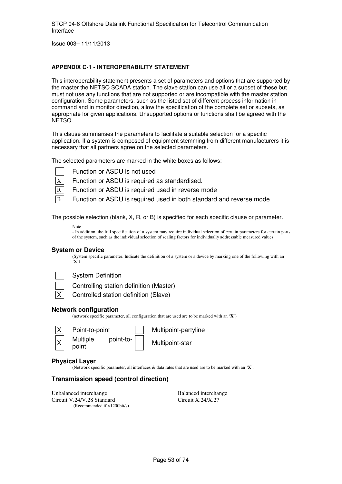Issue 003– 11/11/2013

# **APPENDIX C-1 - INTEROPERABILITY STATEMENT**

This interoperability statement presents a set of parameters and options that are supported by the master the NETSO SCADA station. The slave station can use all or a subset of these but must not use any functions that are not supported or are incompatible with the master station configuration. Some parameters, such as the listed set of different process information in command and in monitor direction, allow the specification of the complete set or subsets, as appropriate for given applications. Unsupported options or functions shall be agreed with the NETSO.

This clause summarises the parameters to facilitate a suitable selection for a specific application. If a system is composed of equipment stemming from different manufacturers it is necessary that all partners agree on the selected parameters.

The selected parameters are marked in the white boxes as follows:



Function or ASDU is not used

 $X$  Function or ASDU is required as standardised.

 $R$  Function or ASDU is required used in reverse mode

 $\overline{B}$  Function or ASDU is required used in both standard and reverse mode

The possible selection (blank, X, R, or B) is specified for each specific clause or parameter.

#### Note

- In addition, the full specification of a system may require individual selection of certain parameters for certain parts of the system, such as the individual selection of scaling factors for individually addressable measured values.

#### **System or Device**

(System specific parameter. Indicate the definition of a system or a device by marking one of the following with an '**X**')

 $\Box$ 

System Definition

Controlling station definition (Master)

 $|X|$  Controlled station definition (Slave)

#### **Network configuration**

(network specific parameter, all configuration that are used are to be marked with an '**X**')

Point-to-point | Multipoint-partyline Multiple point-toboint point-to-<br>point Multipoint-star

#### **Physical Layer**

(Network specific parameter, all interfaces & data rates that are used are to be marked with an '**X**'.

#### **Transmission speed (control direction)**

Unbalanced interchange<br>
Circuit V.24/V.28 Standard<br>
Circuit X.24/X.27 Circuit V.24/V.28 Standard (Recommended if >1200bit/s)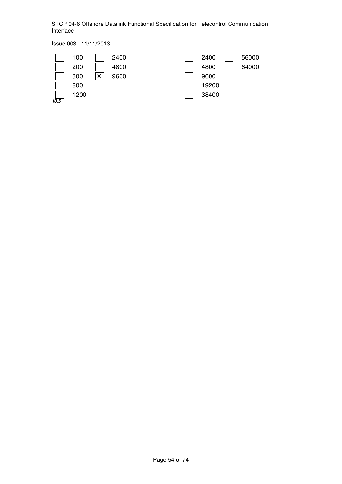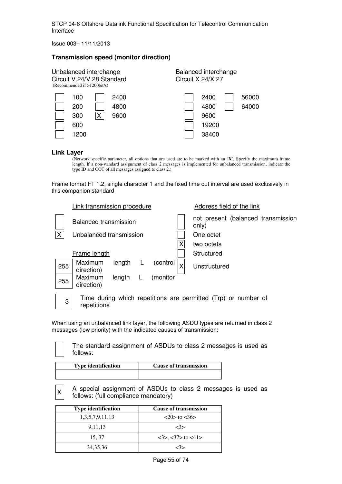Issue 003– 11/11/2013

# **Transmission speed (monitor direction)**



#### **Link Layer**

(Network specific parameter, all options that are used are to be marked with an '**X**'. Specify the maximum frame length. If a non-standard assignment of class 2 messages is implemented for unbalanced transmission, indicate the type ID and COT of all messages assigned to class 2.)

Frame format FT 1.2, single character 1 and the fixed time out interval are used exclusively in this companion standard

|     | Link transmission procedure                                                   | Address field of the link                   |
|-----|-------------------------------------------------------------------------------|---------------------------------------------|
|     | <b>Balanced transmission</b>                                                  | not present (balanced transmission<br>only) |
|     | Unbalanced transmission                                                       | One octet                                   |
|     |                                                                               | two octets                                  |
|     | Frame length                                                                  | Structured                                  |
| 255 | (control<br>Maximum<br>length<br>direction)                                   | Unstructured                                |
| 255 | Maximum<br>(monitor<br>length<br>L<br>direction)                              |                                             |
| 3   | Time during which repetitions are permitted (Trp) or number of<br>repetitions |                                             |

When using an unbalanced link layer, the following ASDU types are returned in class 2 messages (low priority) with the indicated causes of transmission:

The standard assignment of ASDUs to class 2 messages is used as follows:

| <b>Type identification</b> | <b>Cause of transmission</b> |
|----------------------------|------------------------------|
|                            |                              |



A special assignment of ASDUs to class 2 messages is used as follows: (full compliance mandatory)

| <b>Type identification</b> | <b>Cause of transmission</b> |
|----------------------------|------------------------------|
| 1,3,5,7,9,11,13            | $20$ to $36$                 |
| 9,11,13                    | <3>                          |
| 15, 37                     | $3$ , $37$ to $41$           |
| 34, 35, 36                 | -35                          |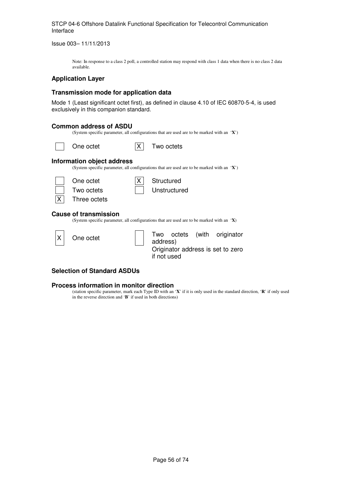Issue 003– 11/11/2013

Note: In response to a class 2 poll, a controlled station may respond with class 1 data when there is no class 2 data available.

# **Application Layer**

# **Transmission mode for application data**

Mode 1 (Least significant octet first), as defined in clause 4.10 of IEC 60870-5-4, is used exclusively in this companion standard.

# **Common address of ASDU**

(System specific parameter, all configurations that are used are to be marked with an '**X**')

| One octet                  | $ X $ Two octets                                                                                     |  |
|----------------------------|------------------------------------------------------------------------------------------------------|--|
| Information object address | (System specific parameter, all configurations that are used are to be marked with an $\mathbf{X}$ ) |  |

| One octet        | $ X $ Structured |
|------------------|------------------|
| Two octets       | Unstructured     |
| $X$ Three octets |                  |

**Cause of transmission** 

(System specific parameter, all configurations that are used are to be marked with an '**X**)

| X l | One octet | address)    |  | Two octets (with originator       |
|-----|-----------|-------------|--|-----------------------------------|
|     |           | if not used |  | Originator address is set to zero |

# **Selection of Standard ASDUs**

#### **Process information in monitor direction**

(station specific parameter, mark each Type ID with an '**X**' if it is only used in the standard direction, '**R**' if only used in the reverse direction and '**B**' if used in both directions)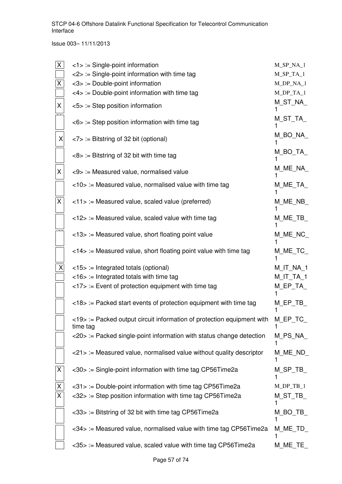Issue 003– 11/11/2013

| X. | $\langle -1 \rangle$ := Single-point information                                                   | $M$ <sub>_</sub> SP_NA_1 |
|----|----------------------------------------------------------------------------------------------------|--------------------------|
|    | $\langle 2 \rangle$ := Single-point information with time tag                                      | $M$ <sub>_</sub> SP_TA_1 |
| X  | $<$ 3> := Double-point information                                                                 | $M\_DP\_NA_1$            |
|    | $\langle 4 \rangle$ := Double-point information with time tag                                      | $M\_DP\_TA\_1$           |
| X. | $<5> :=$ Step position information                                                                 | M_ST_NA                  |
|    | $<$ 6> := Step position information with time tag                                                  | M_ST_TA_                 |
| Χ  | $\langle 7 \rangle$ := Bitstring of 32 bit (optional)                                              | M_BO_NA_                 |
|    | $<8> :=$ Bitstring of 32 bit with time tag                                                         | M_BO_TA_                 |
| X. | <9> := Measured value, normalised value                                                            | M_ME_NA_                 |
|    | $\langle 10 \rangle$ := Measured value, normalised value with time tag                             | M_ME_TA_                 |
| X. | $\langle 11 \rangle$ := Measured value, scaled value (preferred)                                   | M_ME_NB_                 |
|    | $\langle 12 \rangle$ := Measured value, scaled value with time tag                                 | M_ME_TB_                 |
|    | $\langle 13 \rangle$ := Measured value, short floating point value                                 | M ME NC                  |
|    | $\langle 14 \rangle$ := Measured value, short floating point value with time tag                   | M_ME_TC_                 |
| х  | $\langle$ 15> := Integrated totals (optional)                                                      | M_IT_NA_1                |
|    | $<$ 16> := Integrated totals with time tag                                                         | M_IT_TA_1                |
|    | $\langle 17 \rangle$ := Event of protection equipment with time tag                                | M_EP_TA_                 |
|    | $\langle 18 \rangle$ := Packed start events of protection equipment with time tag                  | M EP TB                  |
|    | $\langle 19 \rangle$ := Packed output circuit information of protection equipment with<br>time tag | M_EP_TC_                 |
|    | $\langle 20 \rangle$ := Packed single-point information with status change detection               | M PS NA                  |
|    | $\langle 21 \rangle$ := Measured value, normalised value without quality descriptor                | M ME ND                  |
| X  | <30> := Single-point information with time tag CP56Time2a                                          | M SP TB                  |
| X  | <31> := Double-point information with time tag CP56Time2a                                          | $M\_DP\_TB\_1$           |
| X  | <32> := Step position information with time tag CP56Time2a                                         | M_ST_TB_                 |
|    | <33> := Bitstring of 32 bit with time tag CP56Time2a                                               | M BO TB                  |
|    | $<$ 34> := Measured value, normalised value with time tag CP56Time2a                               | M ME TD                  |
|    | <35> := Measured value, scaled value with time tag CP56Time2a                                      | M ME TE                  |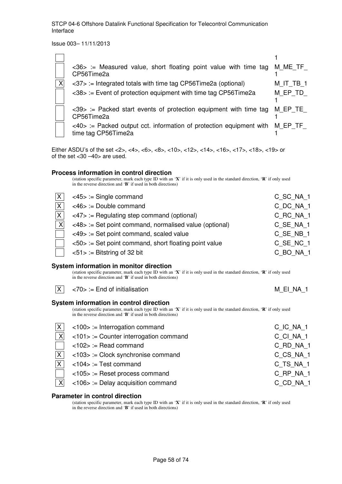Issue 003– 11/11/2013

|          | $<$ 36> := Measured value, short floating point value with time tag<br>CP56Time2a                                                               | M ME TF              |
|----------|-------------------------------------------------------------------------------------------------------------------------------------------------|----------------------|
| $\times$ | <37> := Integrated totals with time tag CP56Time2a (optional)<br>$\langle 38 \rangle$ := Event of protection equipment with time tag CP56Time2a | M_IT_TB_1<br>M EP TD |
|          | $\langle 39 \rangle$ := Packed start events of protection equipment with time tag<br>CP56Time2a                                                 | M EP TE              |
|          | $\langle 40 \rangle$ := Packed output cct. information of protection equipment with M EP TF<br>time tag CP56Time2a                              |                      |
|          |                                                                                                                                                 |                      |

Either ASDU's of the set <2>, <4>, <6>, <8>, <10>, <12>, <14>, <16>, <17>, <18>, <19> or of the set <30 –40> are used.

#### **Process information in control direction**

(station specific parameter, mark each type ID with an '**X**' if it is only used in the standard direction, '**R**' if only used in the reverse direction and '**B**' if used in both directions)

| X.           | $<45> :=$ Single command                                               | C SC NA 1 |
|--------------|------------------------------------------------------------------------|-----------|
| $\mathsf{X}$ | $<46> := Double command$                                               | C DC NA 1 |
|              | $\langle 47 \rangle$ := Regulating step command (optional)             | C RC NA 1 |
|              | $\langle 48 \rangle$ := Set point command, normalised value (optional) | C SE NA 1 |
|              | $<49$ := Set point command, scaled value                               | C SE NB 1 |
|              | $<$ 50 $>$ := Set point command, short floating point value            | C SE NC 1 |
|              | $<$ 51 >:= Bitstring of 32 bit                                         | C BO NA 1 |

#### **System information in monitor direction**

(station specific parameter, mark each type ID with an '**X**' if it is only used in the standard direction, '**R**' if only used in the reverse direction and '**B**' if used in both directions)

### $|X|$  <70> := End of initialisation M\_EI\_NA\_1

#### **System information in control direction**

(station specific parameter, mark each type ID with an '**X**' if it is only used in the standard direction, '**R**' if only used in the reverse direction and '**B**' if used in both directions)

| $<100>:=$ Interrogation command         | C IC NA 1 |
|-----------------------------------------|-----------|
| $<101>:=$ Counter interrogation command | C CI NA 1 |
| $<$ 102> := Read command                | C RD NA 1 |
| $<103> :=$ Clock synchronise command    | C CS NA 1 |
| $<$ 104 $>$ := Test command             | C TS NA 1 |
| $<$ 105> := Reset process command       | C RP NA 1 |
| $<106> :=$ Delay acquisition command    | C CD NA 1 |
|                                         |           |

#### **Parameter in control direction**

(station specific parameter, mark each type ID with an '**X**' if it is only used in the standard direction, '**R**' if only used in the reverse direction and '**B**' if used in both directions)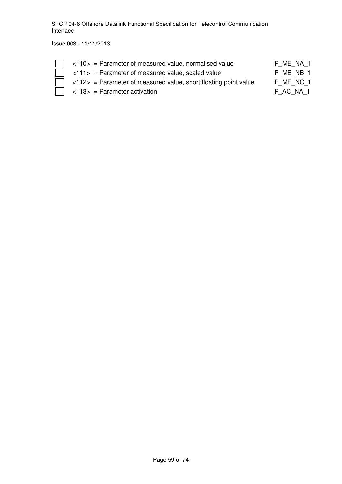Issue 003– 11/11/2013

| $<110>$ := Parameter of measured value, normalised value                  | P ME NA 1 |
|---------------------------------------------------------------------------|-----------|
| $\langle 111 \rangle$ := Parameter of measured value, scaled value        | P ME NB 1 |
| $\langle$ 112> := Parameter of measured value, short floating point value | P ME NC 1 |
| $\vert \vert$ <113> := Parameter activation                               | P AC NA 1 |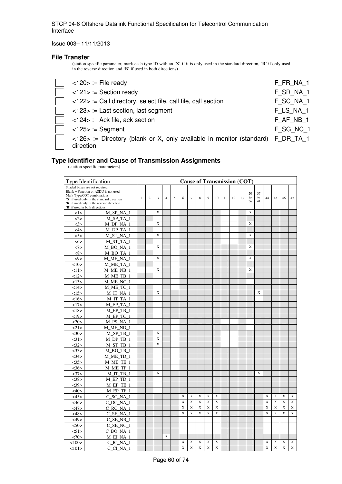Issue 003– 11/11/2013

#### **File Transfer**

(station specific parameter, mark each type ID with an '**X**' if it is only used in the standard direction, '**R**' if only used in the reverse direction and '**B**' if used in both directions)

| $<120> :=$ File ready                                                                             | F FR NA 1 |
|---------------------------------------------------------------------------------------------------|-----------|
| $<$ 121> := Section ready                                                                         | F SR NA 1 |
| $\langle 122 \rangle$ := Call directory, select file, call file, call section                     | F SC NA 1 |
| $<123>:=$ Last section, last segment                                                              | F LS NA 1 |
| $<$ 124 $>$ : = Ack file, ack section                                                             | F AF NB 1 |
| $<$ 125 $>$ := Segment                                                                            | F SG NC 1 |
| $\langle 126 \rangle$ := Directory (blank or X, only available in monitor (standard)<br>direction | F DR TA 1 |

# **Type Identifier and Cause of Transmission Assignments**

(station specific parameters)

|         | Type Identification                                                                                                                                                                                                                 |              |              |   |                |   |             |                |             |             | <b>Cause of Transmission (COT)</b> |    |    |    |                                    |                |    |             |             |             |
|---------|-------------------------------------------------------------------------------------------------------------------------------------------------------------------------------------------------------------------------------------|--------------|--------------|---|----------------|---|-------------|----------------|-------------|-------------|------------------------------------|----|----|----|------------------------------------|----------------|----|-------------|-------------|-------------|
|         | Shaded boxes are not required.<br>Blank = Function or ASDU is not used.<br>Mark Type/COT combinations:<br>'X' if used only in the standard direction<br>'R' if used only in the reverse direction<br>'B' if used in both directions | $\mathbf{1}$ | $\mathbf{2}$ | 3 | $\overline{4}$ | 5 | 6           | $\overline{7}$ | $\,$ 8 $\,$ | 9           | 10                                 | 11 | 12 | 13 | 20<br>$\mathop{\mathrm{to}}$<br>36 | 37<br>to<br>41 | 44 | 45          | 46          | 47          |
| <1>     | $M$ <sub>_</sub> SP_NA_1                                                                                                                                                                                                            |              |              | X |                |   |             |                |             |             |                                    |    |    |    | X                                  |                |    |             |             |             |
| <2>     | $M$ <sub>_</sub> SP_TA_1                                                                                                                                                                                                            |              |              |   |                |   |             |                |             |             |                                    |    |    |    |                                    |                |    |             |             |             |
| <3>     | M_DP_NA_1                                                                                                                                                                                                                           |              |              | X |                |   |             |                |             |             |                                    |    |    |    | X                                  |                |    |             |             |             |
| <4>     | M_DP_TA_1                                                                                                                                                                                                                           |              |              |   |                |   |             |                |             |             |                                    |    |    |    |                                    |                |    |             |             |             |
| $<$ 5>  | M_ST_NA_1                                                                                                                                                                                                                           |              |              | X |                |   |             |                |             |             |                                    |    |    |    | $\mathbf X$                        |                |    |             |             |             |
| <6>     | $M_ST_TA_1$                                                                                                                                                                                                                         |              |              |   |                |   |             |                |             |             |                                    |    |    |    |                                    |                |    |             |             |             |
| 22      | M_BO_NA_1                                                                                                                                                                                                                           |              |              | X |                |   |             |                |             |             |                                    |    |    |    | X                                  |                |    |             |             |             |
| <8>     | $M_BO_TA_1$                                                                                                                                                                                                                         |              |              |   |                |   |             |                |             |             |                                    |    |    |    |                                    |                |    |             |             |             |
| $<$ 9>  | M_ME_NA_1                                                                                                                                                                                                                           |              |              | X |                |   |             |                |             |             |                                    |    |    |    | X                                  |                |    |             |             |             |
| <10>    | M ME TA 1                                                                                                                                                                                                                           |              |              |   |                |   |             |                |             |             |                                    |    |    |    |                                    |                |    |             |             |             |
| <11>    | M_ME_NB_1                                                                                                                                                                                                                           |              |              | X |                |   |             |                |             |             |                                    |    |    |    | X                                  |                |    |             |             |             |
| 12>     | M_ME_TB_<br>-1                                                                                                                                                                                                                      |              |              |   |                |   |             |                |             |             |                                    |    |    |    |                                    |                |    |             |             |             |
| <13>    | $M$ <sub>_ME_NC_1</sub>                                                                                                                                                                                                             |              |              |   |                |   |             |                |             |             |                                    |    |    |    |                                    |                |    |             |             |             |
| <14>    | M_ME_TC_1                                                                                                                                                                                                                           |              |              |   |                |   |             |                |             |             |                                    |    |    |    |                                    |                |    |             |             |             |
| <15>    | M_IT_NA_1                                                                                                                                                                                                                           |              |              | X |                |   |             |                |             |             |                                    |    |    |    |                                    | X              |    |             |             |             |
| <16>    | M IT TA 1                                                                                                                                                                                                                           |              |              |   |                |   |             |                |             |             |                                    |    |    |    |                                    |                |    |             |             |             |
| 17>     | M EP TA 1                                                                                                                                                                                                                           |              |              |   |                |   |             |                |             |             |                                    |    |    |    |                                    |                |    |             |             |             |
| <18>    | $M$ EP TB $1$                                                                                                                                                                                                                       |              |              |   |                |   |             |                |             |             |                                    |    |    |    |                                    |                |    |             |             |             |
| 19      | $M$ EP_TC_1                                                                                                                                                                                                                         |              |              |   |                |   |             |                |             |             |                                    |    |    |    |                                    |                |    |             |             |             |
| 20      | M_PS_NA_1                                                                                                                                                                                                                           |              |              |   |                |   |             |                |             |             |                                    |    |    |    |                                    |                |    |             |             |             |
| 21>     | M_ME_ND_1                                                                                                                                                                                                                           |              |              |   |                |   |             |                |             |             |                                    |    |    |    |                                    |                |    |             |             |             |
| <30>    | $M$ <sub>_</sub> SP_TB_1                                                                                                                                                                                                            |              |              | X |                |   |             |                |             |             |                                    |    |    |    |                                    |                |    |             |             |             |
| <31>    | $M\_DP\_TB\_1$                                                                                                                                                                                                                      |              |              | X |                |   |             |                |             |             |                                    |    |    |    |                                    |                |    |             |             |             |
| <32>    | M ST TB 1                                                                                                                                                                                                                           |              |              | X |                |   |             |                |             |             |                                    |    |    |    |                                    |                |    |             |             |             |
| <33>    | M BO TB 1                                                                                                                                                                                                                           |              |              |   |                |   |             |                |             |             |                                    |    |    |    |                                    |                |    |             |             |             |
| <34>    | M_ME_TD_1                                                                                                                                                                                                                           |              |              |   |                |   |             |                |             |             |                                    |    |    |    |                                    |                |    |             |             |             |
| <35>    | ME_TE_1<br>М                                                                                                                                                                                                                        |              |              |   |                |   |             |                |             |             |                                    |    |    |    |                                    |                |    |             |             |             |
| 36>     | M_ME_TF_1                                                                                                                                                                                                                           |              |              |   |                |   |             |                |             |             |                                    |    |    |    |                                    |                |    |             |             |             |
| <37>    | $M$ <sub>IT</sub> $TB_1$                                                                                                                                                                                                            |              |              | X |                |   |             |                |             |             |                                    |    |    |    |                                    | X              |    |             |             |             |
| <38>    | M_EP_TD_1                                                                                                                                                                                                                           |              |              |   |                |   |             |                |             |             |                                    |    |    |    |                                    |                |    |             |             |             |
| <39>    | M_EP_TE_1                                                                                                                                                                                                                           |              |              |   |                |   |             |                |             |             |                                    |    |    |    |                                    |                |    |             |             |             |
| <40>    | $M$ EP_TF_1                                                                                                                                                                                                                         |              |              |   |                |   |             |                |             |             |                                    |    |    |    |                                    |                |    |             |             |             |
| <45>    | C SC NA 1                                                                                                                                                                                                                           |              |              |   |                |   | X           | X              | X           | $\mathbf X$ | X                                  |    |    |    |                                    |                | X  | $\mathbf X$ | X           | X           |
| <46>    | C DC NA 1                                                                                                                                                                                                                           |              |              |   |                |   | X           | X              | X           | X           | X                                  |    |    |    |                                    |                | X  | X           | X           | X           |
| <47>    | $C_R C_N A_1$                                                                                                                                                                                                                       |              |              |   |                |   | X           | $\mathbf X$    | $\mathbf X$ | X           | X                                  |    |    |    |                                    |                | X  | $\mathbf X$ | $\mathbf X$ | X           |
| <48>    | $C$ <sub>_SE_NA_1</sub>                                                                                                                                                                                                             |              |              |   |                |   | $\mathbf X$ | $\mathbf X$    | $\mathbf X$ | $\mathbf X$ | $\mathbf X$                        |    |    |    |                                    |                | X  | $\mathbf X$ | $\mathbf X$ | $\mathbf X$ |
| <49>    | $C$ <sub>_SE_NB_1</sub>                                                                                                                                                                                                             |              |              |   |                |   |             |                |             |             |                                    |    |    |    |                                    |                |    |             |             |             |
| $<$ 50> | $C$ <sub>_SE_NC_1</sub>                                                                                                                                                                                                             |              |              |   |                |   |             |                |             |             |                                    |    |    |    |                                    |                |    |             |             |             |
| 51>     | $C_B$ o_na_1                                                                                                                                                                                                                        |              |              |   |                |   |             |                |             |             |                                    |    |    |    |                                    |                |    |             |             |             |
| <70>    | M EI NA<br>$\mathbf{1}$                                                                                                                                                                                                             |              |              |   | X              |   |             |                |             |             |                                    |    |    |    |                                    |                |    |             |             |             |
| <100>   | $C$ <sub>IC</sub> $NA_1$                                                                                                                                                                                                            |              |              |   |                |   | X           | X              | X           | X           | $\mathbf X$                        |    |    |    |                                    |                | X  | X           | X           | X           |
| <101>   | C CI NA<br>$\mathbf{1}$                                                                                                                                                                                                             |              |              |   |                |   | $\mathbf X$ | X              | X           | X           | $\mathbf X$                        |    |    |    |                                    |                | X  | X           | X           | $\mathbf X$ |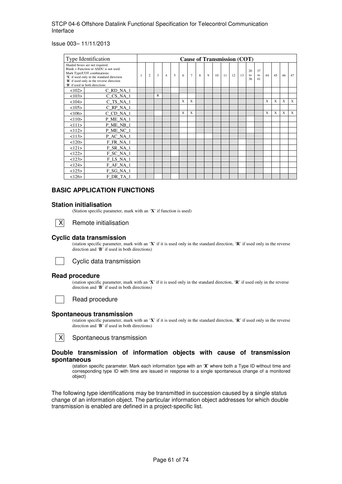#### Issue 003– 11/11/2013

|       | Type Identification                                                                                                                                                                                                                     | <b>Cause of Transmission (COT)</b> |              |                |                |   |                 |   |              |    |     |    |    |                |                |    |    |             |              |
|-------|-----------------------------------------------------------------------------------------------------------------------------------------------------------------------------------------------------------------------------------------|------------------------------------|--------------|----------------|----------------|---|-----------------|---|--------------|----|-----|----|----|----------------|----------------|----|----|-------------|--------------|
|       | Shaded boxes are not required.<br>$Blank = Function$ or $ASDU$ is not used.<br>Mark Type/COT combinations:<br>'X' if used only in the standard direction<br>'R' if used only in the reverse direction<br>'B' if used in both directions | $\overline{2}$                     | 3            | $\overline{4}$ | $\overline{5}$ | 6 | $7\phantom{.0}$ | 8 | $\mathbf{Q}$ | 10 | -11 | 12 | 13 | 20<br>to<br>36 | 37<br>to<br>41 | 44 | 45 | 46          | 47           |
| <102> | C RD NA 1                                                                                                                                                                                                                               |                                    |              |                |                |   |                 |   |              |    |     |    |    |                |                |    |    |             |              |
| <103> | $C_{CS}$ <sub>NA_1</sub>                                                                                                                                                                                                                |                                    | $\mathbb{R}$ |                |                |   |                 |   |              |    |     |    |    |                |                |    |    |             |              |
| <104> | $C_TS_NA_1$                                                                                                                                                                                                                             |                                    |              |                |                | X | X               |   |              |    |     |    |    |                |                | X  | X  | X           | X            |
| <105> | C RP NA 1                                                                                                                                                                                                                               |                                    |              |                |                |   |                 |   |              |    |     |    |    |                |                |    |    |             |              |
| <106> | C CD NA 1                                                                                                                                                                                                                               |                                    |              |                |                | X | $\mathbf{x}$    |   |              |    |     |    |    |                |                | X  | X  | $\mathbf x$ | $\mathbf{x}$ |
| <110> | P_ME_NA_1                                                                                                                                                                                                                               |                                    |              |                |                |   |                 |   |              |    |     |    |    |                |                |    |    |             |              |
| <111> | P ME NB 1                                                                                                                                                                                                                               |                                    |              |                |                |   |                 |   |              |    |     |    |    |                |                |    |    |             |              |
| <112> | P ME NC 1                                                                                                                                                                                                                               |                                    |              |                |                |   |                 |   |              |    |     |    |    |                |                |    |    |             |              |
| <113> | $P_{AC}NA_{1}$                                                                                                                                                                                                                          |                                    |              |                |                |   |                 |   |              |    |     |    |    |                |                |    |    |             |              |
| <120> | F FR NA 1                                                                                                                                                                                                                               |                                    |              |                |                |   |                 |   |              |    |     |    |    |                |                |    |    |             |              |
| <121> | F_SR_NA_1                                                                                                                                                                                                                               |                                    |              |                |                |   |                 |   |              |    |     |    |    |                |                |    |    |             |              |
| <122> | $F_S C_N A_1$                                                                                                                                                                                                                           |                                    |              |                |                |   |                 |   |              |    |     |    |    |                |                |    |    |             |              |
| <123> | FLS NA 1                                                                                                                                                                                                                                |                                    |              |                |                |   |                 |   |              |    |     |    |    |                |                |    |    |             |              |
| <124> | F_AF_NA_1                                                                                                                                                                                                                               |                                    |              |                |                |   |                 |   |              |    |     |    |    |                |                |    |    |             |              |
| <125> | $F_S G_N A_1$                                                                                                                                                                                                                           |                                    |              |                |                |   |                 |   |              |    |     |    |    |                |                |    |    |             |              |
| 126>  | F DR TA 1                                                                                                                                                                                                                               |                                    |              |                |                |   |                 |   |              |    |     |    |    |                |                |    |    |             |              |

# **BASIC APPLICATION FUNCTIONS**

#### **Station initialisation**

(Station specific parameter, mark with an '**X**' if function is used)

# $\overline{X}$  Remote initialisation

#### **Cyclic data transmission**

(station specific parameter, mark with an '**X**' if it is used only in the standard direction, '**R**' if used only in the reverse direction and '**B**' if used in both directions)

Cyclic data transmission

#### **Read procedure**

(station specific parameter, mark with an '**X**' if it is used only in the standard direction, '**R**' if used only in the reverse direction and '**B**' if used in both directions)

# Read procedure

#### **Spontaneous transmission**

(station specific parameter, mark with an '**X**' if it is used only in the standard direction, '**R**' if used only in the reverse direction and '**B**' if used in both directions)



X Spontaneous transmission

#### **Double transmission of information objects with cause of transmission spontaneous**

(station specific parameter. Mark each information type with an '**X**' where both a Type ID without time and corresponding type ID with time are issued in response to a single spontaneous change of a monitored object)

The following type identifications may be transmitted in succession caused by a single status change of an information object. The particular information object addresses for which double transmission is enabled are defined in a project-specific list.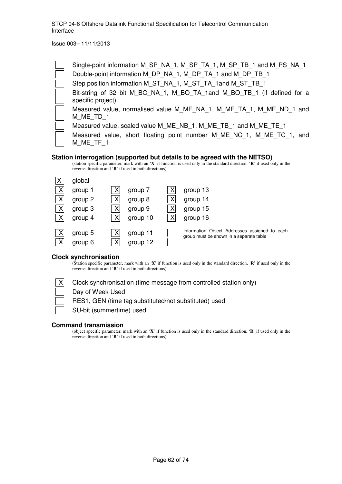Issue 003– 11/11/2013

| Single-point information M_SP_NA_1, M_SP_TA_1, M_SP_TB_1 and M_PS_NA_1                         |
|------------------------------------------------------------------------------------------------|
| Double-point information M_DP_NA_1, M_DP_TA_1 and M_DP_TB_1                                    |
| Step position information M_ST_NA_1, M_ST_TA_1and M_ST_TB_1                                    |
| Bit-string of 32 bit M_BO_NA_1, M_BO_TA_1 and M_BO_TB_1 (if defined for a<br>specific project) |
| Measured value, normalised value M_ME_NA_1, M_ME_TA_1, M_ME_ND_1 and<br>M ME TD 1              |
| Measured value, scaled value M ME NB 1, M ME TB 1 and M ME TE 1                                |
| Measured value, short floating point number M ME NC 1, M ME TC 1, and<br>M ME TF 1             |
|                                                                                                |

#### **Station interrogation (supported but details to be agreed with the NETSO)**

(station specific parameter. mark with an '**X**' if function is used only in the standard direction, '**R**' if used only in the reverse direction and '**B**' if used in both directions)

|          | global  |   |          |   |                                                                                          |
|----------|---------|---|----------|---|------------------------------------------------------------------------------------------|
| $\times$ | group 1 |   | group 7  |   | group 13                                                                                 |
| Χ        | group 2 |   | group 8  |   | group 14                                                                                 |
| X        | group 3 |   | group 9  |   | group 15                                                                                 |
| X        | group 4 | X | group 10 | X | group 16                                                                                 |
| X        | group 5 |   | group 11 |   | Information Object Addresses assigned to each<br>group must be shown in a separate table |
| X        | group 6 |   | group 12 |   |                                                                                          |

#### **Clock synchronisation**

(Station specific parameter, mark with an '**X**' if function is used only in the standard direction, '**R**' if used only in the reverse direction and '**B**' if used in both directions)

 $X$  Clock synchronisation (time message from controlled station only)

Day of Week Used

RES1, GEN (time tag substituted/not substituted) used

SU-bit (summertime) used

# **Command transmission**

(object specific parameter, mark with an '**X**' if function is used only in the standard direction, '**R**' if used only in the reverse direction and '**B**' if used in both directions)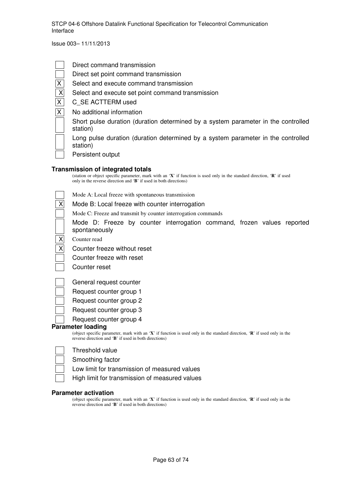Issue 003– 11/11/2013

|                         | Direct command transmission                                                                                                                                                                  |
|-------------------------|----------------------------------------------------------------------------------------------------------------------------------------------------------------------------------------------|
|                         | Direct set point command transmission                                                                                                                                                        |
| $\overline{X}$          | Select and execute command transmission                                                                                                                                                      |
| $\times$                | Select and execute set point command transmission                                                                                                                                            |
| $\overline{\mathsf{X}}$ | C SE ACTTERM used                                                                                                                                                                            |
| $\overline{X}$          | No additional information                                                                                                                                                                    |
|                         | Short pulse duration (duration determined by a system parameter in the controlled<br>station)                                                                                                |
|                         | Long pulse duration (duration determined by a system parameter in the controlled<br>station)                                                                                                 |
|                         | Persistent output                                                                                                                                                                            |
|                         | <b>Transmission of integrated totals</b>                                                                                                                                                     |
|                         | (station or object specific parameter, mark with an 'X' if function is used only in the standard direction, 'R' if used<br>only in the reverse direction and 'B' if used in both directions) |
|                         | Mode A: Local freeze with spontaneous transmission                                                                                                                                           |
| Χ                       | Mode B: Local freeze with counter interrogation                                                                                                                                              |
|                         | Mode C: Freeze and transmit by counter interrogation commands                                                                                                                                |
|                         | Mode D: Freeze by counter interrogation command, frozen values reported<br>spontaneously                                                                                                     |
| X                       | Counter read                                                                                                                                                                                 |
| X                       | Counter freeze without reset                                                                                                                                                                 |

- Counter freeze with reset
- Counter reset

- General request counter
- Request counter group 1
- Request counter group 2
- Request counter group 3
- Request counter group 4

### **Parameter loading**

(object specific parameter, mark with an '**X**' if function is used only in the standard direction, '**R**' if used only in the reverse direction and '**B**' if used in both directions)

| Threshold value |  |
|-----------------|--|
|-----------------|--|

Smoothing factor

Low limit for transmission of measured values

High limit for transmission of measured values

#### **Parameter activation**

(object specific parameter, mark with an '**X**' if function is used only in the standard direction, '**R**' if used only in the reverse direction and '**B**' if used in both directions)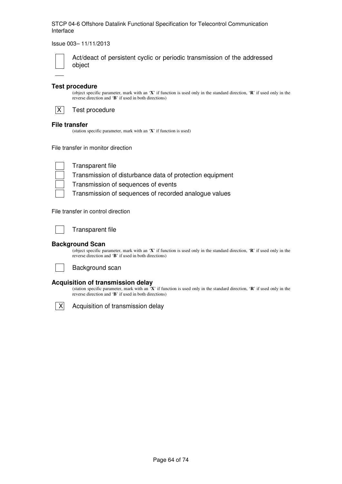Issue 003– 11/11/2013



Act/deact of persistent cyclic or periodic transmission of the addressed object

#### **Test procedure**

(object specific parameter, mark with an '**X**' if function is used only in the standard direction, '**R**' if used only in the reverse direction and '**B**' if used in both directions)



#### $\overline{X}$  Test procedure

#### **File transfer**

(station specific parameter, mark with an '**X**' if function is used)

File transfer in monitor direction



Transparent file

Transmission of disturbance data of protection equipment

Transmission of sequences of events

Transmission of sequences of recorded analogue values

File transfer in control direction



Transparent file

#### **Background Scan**

(object specific parameter, mark with an '**X**' if function is used only in the standard direction, '**R**' if used only in the reverse direction and '**B**' if used in both directions)



Background scan

#### **Acquisition of transmission delay**

(station specific parameter, mark with an '**X**' if function is used only in the standard direction, '**R**' if used only in the reverse direction and '**B**' if used in both directions)



 $\overline{X}$  Acquisition of transmission delay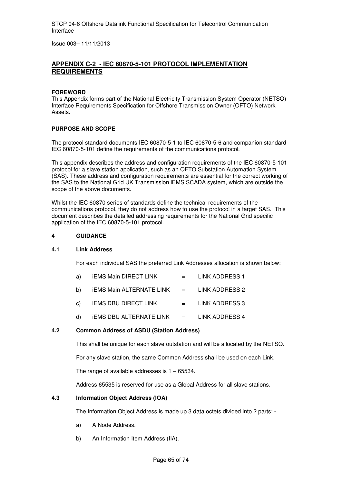Issue 003– 11/11/2013

# **APPENDIX C-2 - IEC 60870-5-101 PROTOCOL IMPLEMENTATION REQUIREMENTS**

#### **FOREWORD**

This Appendix forms part of the National Electricity Transmission System Operator (NETSO) Interface Requirements Specification for Offshore Transmission Owner (OFTO) Network Assets.

#### **PURPOSE AND SCOPE**

The protocol standard documents IEC 60870-5-1 to IEC 60870-5-6 and companion standard IEC 60870-5-101 define the requirements of the communications protocol.

This appendix describes the address and configuration requirements of the IEC 60870-5-101 protocol for a slave station application, such as an OFTO Substation Automation System (SAS). These address and configuration requirements are essential for the correct working of the SAS to the National Grid UK Transmission iEMS SCADA system, which are outside the scope of the above documents.

Whilst the IEC 60870 series of standards define the technical requirements of the communications protocol, they do not address how to use the protocol in a target SAS. This document describes the detailed addressing requirements for the National Grid specific application of the IEC 60870-5-101 protocol.

#### **4 GUIDANCE**

#### **4.1 Link Address**

For each individual SAS the preferred Link Addresses allocation is shown below:

| <b>IEMS Main DIRECT LINK</b><br>a) |  | LINK ADDRESS 1 |
|------------------------------------|--|----------------|
|------------------------------------|--|----------------|

- b)  $i$  EMS Main ALTERNATE LINK  $=$  LINK ADDRESS 2
- c)  $i$  EMS DBU DIRECT LINK  $=$  LINK ADDRESS 3
- d)  $IEMS DBU ALTERNATE LINK = LINK ADDRESS 4$

#### **4.2 Common Address of ASDU (Station Address)**

This shall be unique for each slave outstation and will be allocated by the NETSO.

For any slave station, the same Common Address shall be used on each Link.

The range of available addresses is 1 – 65534.

Address 65535 is reserved for use as a Global Address for all slave stations.

#### **4.3 Information Object Address (IOA)**

The Information Object Address is made up 3 data octets divided into 2 parts: -

- a) A Node Address.
- b) An Information Item Address (IIA).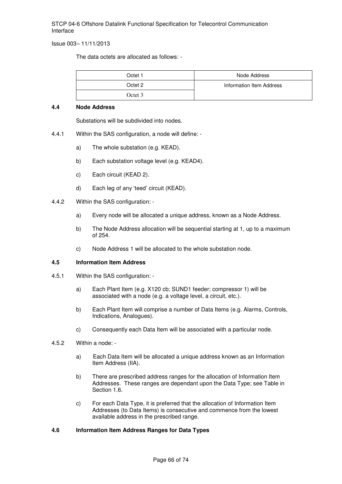Issue 003– 11/11/2013

The data octets are allocated as follows: -

| Octet 1 | Node Address             |
|---------|--------------------------|
| Octet 2 | Information Item Address |
| Octet 3 |                          |

#### **4.4 Node Address**

Substations will be subdivided into nodes.

- 4.4.1 Within the SAS configuration, a node will define:
	- a) The whole substation (e.g. KEAD).
	- b) Each substation voltage level (e.g. KEAD4).
	- c) Each circuit (KEAD 2).
	- d) Each leg of any 'teed' circuit (KEAD).
- 4.4.2 Within the SAS configuration:
	- a) Every node will be allocated a unique address, known as a Node Address.
	- b) The Node Address allocation will be sequential starting at 1, up to a maximum of 254.
	- c) Node Address 1 will be allocated to the whole substation node.

#### **4.5 Information Item Address**

- 4.5.1 Within the SAS configuration:
	- a) Each Plant Item (e.g. X120 cb; SUND1 feeder; compressor 1) will be associated with a node (e.g. a voltage level, a circuit, etc.).
	- b) Each Plant Item will comprise a number of Data Items (e.g. Alarms, Controls, Indications, Analogues).
	- c) Consequently each Data Item will be associated with a particular node.
- 4.5.2 Within a node:
	- a) Each Data Item will be allocated a unique address known as an Information Item Address (IIA).
	- b) There are prescribed address ranges for the allocation of Information Item Addresses. These ranges are dependant upon the Data Type; see Table in Section 1.6.
	- c) For each Data Type, it is preferred that the allocation of Information Item Addresses (to Data Items) is consecutive and commence from the lowest available address in the prescribed range.

#### **4.6 Information Item Address Ranges for Data Types**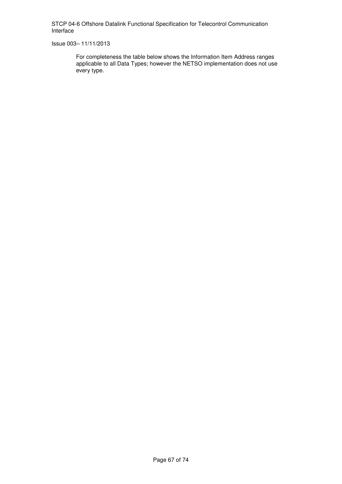Issue 003– 11/11/2013

For completeness the table below shows the Information Item Address ranges applicable to all Data Types; however the NETSO implementation does not use every type.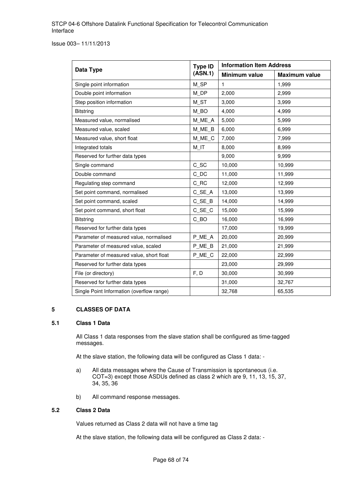Issue 003– 11/11/2013

|                                           | <b>Type ID</b>                         | <b>Information Item Address</b> |                      |
|-------------------------------------------|----------------------------------------|---------------------------------|----------------------|
| Data Type                                 | (ASN.1)                                | Minimum value                   | <b>Maximum value</b> |
| Single point information                  | M SP                                   | 1                               | 1,999                |
| Double point information                  | M DP                                   | 2,000                           | 2,999                |
| Step position information                 | M ST                                   | 3,000                           | 3,999                |
| <b>Bitstring</b>                          | M BO                                   | 4,000                           | 4,999                |
| Measured value, normalised                | M_ME_A                                 | 5,000                           | 5,999                |
| Measured value, scaled                    | $M$ <sub>_</sub> $ME$ <sub>_</sub> $B$ | 6,000                           | 6,999                |
| Measured value, short float               | M ME C                                 | 7,000                           | 7,999                |
| Integrated totals                         | $M$ <sup>IT</sup>                      | 8,000                           | 8,999                |
| Reserved for further data types           |                                        | 9,000                           | 9,999                |
| Single command                            | C SC                                   | 10,000                          | 10,999               |
| Double command                            | C DC                                   | 11,000                          | 11,999               |
| Regulating step command                   | C RC                                   | 12,000                          | 12,999               |
| Set point command, normalised             | $C$ <sub>_</sub> SE_A                  | 13,000                          | 13,999               |
| Set point command, scaled                 | $C$ <sub>_</sub> SE_B                  | 14,000                          | 14,999               |
| Set point command, short float            | C SE C                                 | 15,000                          | 15,999               |
| <b>Bitstring</b>                          | C BO                                   | 16,000                          | 16,999               |
| Reserved for further data types           |                                        | 17,000                          | 19,999               |
| Parameter of measured value, normalised   | P ME A                                 | 20,000                          | 20,999               |
| Parameter of measured value, scaled       | $P_ME_B$                               | 21,000                          | 21,999               |
| Parameter of measured value, short float  | P ME_C                                 | 22,000                          | 22,999               |
| Reserved for further data types           |                                        | 23,000                          | 29,999               |
| File (or directory)                       | F, D                                   | 30,000                          | 30,999               |
| Reserved for further data types           |                                        | 31,000                          | 32,767               |
| Single Point Information (overflow range) |                                        | 32,768                          | 65,535               |

#### **5 CLASSES OF DATA**

#### **5.1 Class 1 Data**

All Class 1 data responses from the slave station shall be configured as time-tagged messages.

At the slave station, the following data will be configured as Class 1 data: -

- a) All data messages where the Cause of Transmission is spontaneous (i.e. COT=3) except those ASDUs defined as class 2 which are 9, 11, 13, 15, 37, 34, 35, 36
- b) All command response messages.

#### **5.2 Class 2 Data**

Values returned as Class 2 data will not have a time tag

At the slave station, the following data will be configured as Class 2 data: -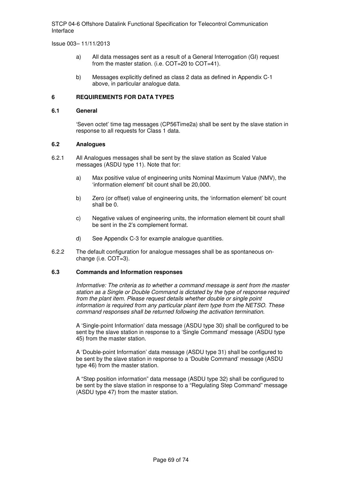Issue 003– 11/11/2013

- a) All data messages sent as a result of a General Interrogation (GI) request from the master station. (i.e. COT=20 to COT=41).
- b) Messages explicitly defined as class 2 data as defined in Appendix C-1 above, in particular analogue data.

#### **6 REQUIREMENTS FOR DATA TYPES**

#### **6.1 General**

'Seven octet' time tag messages (CP56Time2a) shall be sent by the slave station in response to all requests for Class 1 data.

#### **6.2 Analogues**

- 6.2.1 All Analogues messages shall be sent by the slave station as Scaled Value messages (ASDU type 11). Note that for:
	- a) Max positive value of engineering units Nominal Maximum Value (NMV), the 'information element' bit count shall be 20,000.
	- b) Zero (or offset) value of engineering units, the 'information element' bit count shall be 0.
	- c) Negative values of engineering units, the information element bit count shall be sent in the 2's complement format.
	- d) See Appendix C-3 for example analogue quantities.
- 6.2.2 The default configuration for analogue messages shall be as spontaneous onchange (i.e. COT=3).

#### **6.3 Commands and Information responses**

Informative: The criteria as to whether a command message is sent from the master station as a Single or Double Command is dictated by the type of response required from the plant item. Please request details whether double or single point information is required from any particular plant item type from the NETSO. These command responses shall be returned following the activation termination.

A 'Single-point Information' data message (ASDU type 30) shall be configured to be sent by the slave station in response to a 'Single Command' message (ASDU type 45) from the master station.

A 'Double-point Information' data message (ASDU type 31) shall be configured to be sent by the slave station in response to a 'Double Command' message (ASDU type 46) from the master station.

A "Step position information" data message (ASDU type 32) shall be configured to be sent by the slave station in response to a "Regulating Step Command" message (ASDU type 47) from the master station.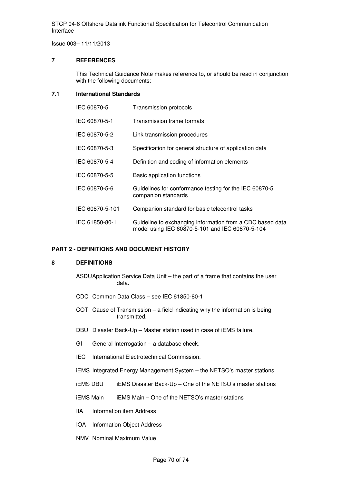Issue 003– 11/11/2013

#### **7 REFERENCES**

This Technical Guidance Note makes reference to, or should be read in conjunction with the following documents: -

# **7.1 International Standards**

| IEC 60870-5     | <b>Transmission protocols</b>                                                                                |
|-----------------|--------------------------------------------------------------------------------------------------------------|
| IEC 60870-5-1   | Transmission frame formats                                                                                   |
| IEC 60870-5-2   | Link transmission procedures                                                                                 |
| IEC 60870-5-3   | Specification for general structure of application data                                                      |
| IEC 60870-5-4   | Definition and coding of information elements                                                                |
| IEC 60870-5-5   | Basic application functions                                                                                  |
| IEC 60870-5-6   | Guidelines for conformance testing for the IEC 60870-5<br>companion standards                                |
| IEC 60870-5-101 | Companion standard for basic telecontrol tasks                                                               |
| IEC 61850-80-1  | Guideline to exchanging information from a CDC based data<br>model using IEC 60870-5-101 and IEC 60870-5-104 |

# **PART 2 - DEFINITIONS AND DOCUMENT HISTORY**

# **8 DEFINITIONS**

- ASDU Application Service Data Unit the part of a frame that contains the user data.
- CDC Common Data Class see IEC 61850-80-1
- COT Cause of Transmission a field indicating why the information is being transmitted.
- DBU Disaster Back-Up Master station used in case of iEMS failure.
- GI General Interrogation a database check.
- IEC International Electrotechnical Commission.
- iEMS Integrated Energy Management System the NETSO's master stations
- iEMS DBU iEMS Disaster Back-Up One of the NETSO's master stations
- iEMS Main iEMS Main One of the NETSO's master stations
- IIA Information item Address
- IOA Information Object Address
- NMV Nominal Maximum Value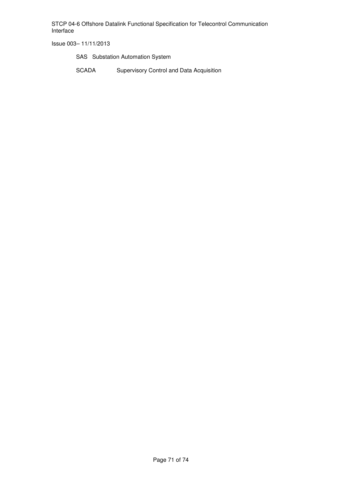Issue 003– 11/11/2013

| <b>SAS</b> Substation Automation System |  |
|-----------------------------------------|--|
|                                         |  |

SCADA Supervisory Control and Data Acquisition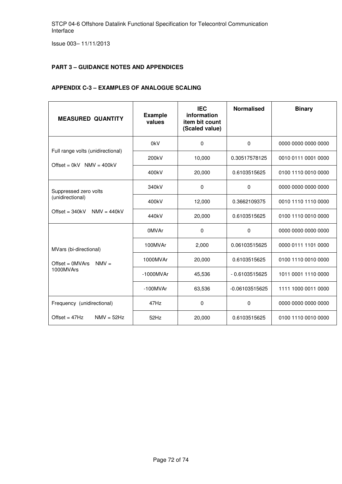Issue 003– 11/11/2013

# **PART 3 – GUIDANCE NOTES AND APPENDICES**

# **APPENDIX C-3 – EXAMPLES OF ANALOGUE SCALING**

| <b>MEASURED QUANTITY</b>                                                       | <b>Example</b><br>values | <b>IEC</b><br>information<br>item bit count<br>(Scaled value) | <b>Normalised</b> | <b>Binary</b>       |
|--------------------------------------------------------------------------------|--------------------------|---------------------------------------------------------------|-------------------|---------------------|
| Full range volts (unidirectional)<br>$Offset = 0kV$ NMV = 400kV                | 0kV                      | 0                                                             | 0                 | 0000 0000 0000 0000 |
|                                                                                | 200kV                    | 10,000                                                        | 0.30517578125     | 0010 0111 0001 0000 |
|                                                                                | 400kV                    | 20,000                                                        | 0.6103515625      | 0100 1110 0010 0000 |
| Suppressed zero volts<br>(unidirectional)<br>$NMV = 440kV$<br>Offset = $340kV$ | 340kV                    | 0                                                             | 0                 | 0000 0000 0000 0000 |
|                                                                                | 400kV                    | 12,000                                                        | 0.3662109375      | 0010 1110 1110 0000 |
|                                                                                | 440kV                    | 20,000                                                        | 0.6103515625      | 0100 1110 0010 0000 |
| MVars (bi-directional)<br>$Offset = OMV Ars$<br>$NMV =$<br>1000MVArs           | 0MVAr                    | 0                                                             | 0                 | 0000 0000 0000 0000 |
|                                                                                | 100MVAr                  | 2,000                                                         | 0.06103515625     | 0000 0111 1101 0000 |
|                                                                                | 1000MVAr                 | 20,000                                                        | 0.6103515625      | 0100 1110 0010 0000 |
|                                                                                | $-1000$ MVAr             | 45,536                                                        | $-0.6103515625$   | 1011 0001 1110 0000 |
|                                                                                | $-100$ MVAr              | 63,536                                                        | $-0.06103515625$  | 1111 1000 0011 0000 |
| Frequency (unidirectional)                                                     | 47Hz                     | 0                                                             | 0                 | 0000 0000 0000 0000 |
| Offset = $47Hz$<br>$NMV = 52Hz$                                                | 52Hz                     | 20,000                                                        | 0.6103515625      | 0100 1110 0010 0000 |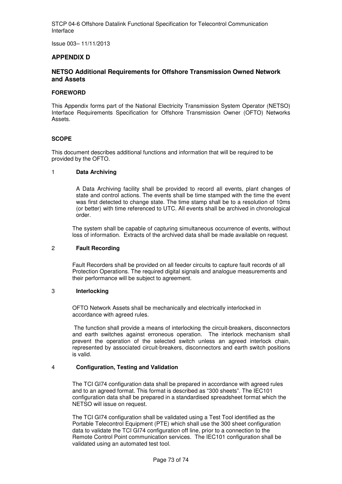STCP 04-6 Offshore Datalink Functional Specification for Telecontrol Communication Interface

Issue 003– 11/11/2013

# **APPENDIX D**

## **NETSO Additional Requirements for Offshore Transmission Owned Network and Assets**

### **FOREWORD**

This Appendix forms part of the National Electricity Transmission System Operator (NETSO) Interface Requirements Specification for Offshore Transmission Owner (OFTO) Networks Assets.

## **SCOPE**

This document describes additional functions and information that will be required to be provided by the OFTO.

### 1 **Data Archiving**

A Data Archiving facility shall be provided to record all events, plant changes of state and control actions. The events shall be time stamped with the time the event was first detected to change state. The time stamp shall be to a resolution of 10ms (or better) with time referenced to UTC. All events shall be archived in chronological order.

The system shall be capable of capturing simultaneous occurrence of events, without loss of information. Extracts of the archived data shall be made available on request.

## 2 **Fault Recording**

Fault Recorders shall be provided on all feeder circuits to capture fault records of all Protection Operations. The required digital signals and analogue measurements and their performance will be subject to agreement.

#### 3 **Interlocking**

OFTO Network Assets shall be mechanically and electrically interlocked in accordance with agreed rules.

 The function shall provide a means of interlocking the circuit-breakers, disconnectors and earth switches against erroneous operation. The interlock mechanism shall prevent the operation of the selected switch unless an agreed interlock chain, represented by associated circuit-breakers, disconnectors and earth switch positions is valid.

#### 4 **Configuration, Testing and Validation**

The TCI GI74 configuration data shall be prepared in accordance with agreed rules and to an agreed format. This format is described as "300 sheets". The IEC101 configuration data shall be prepared in a standardised spreadsheet format which the NETSO will issue on request.

The TCI GI74 configuration shall be validated using a Test Tool identified as the Portable Telecontrol Equipment (PTE) which shall use the 300 sheet configuration data to validate the TCI GI74 configuration off line, prior to a connection to the Remote Control Point communication services. The IEC101 configuration shall be validated using an automated test tool.